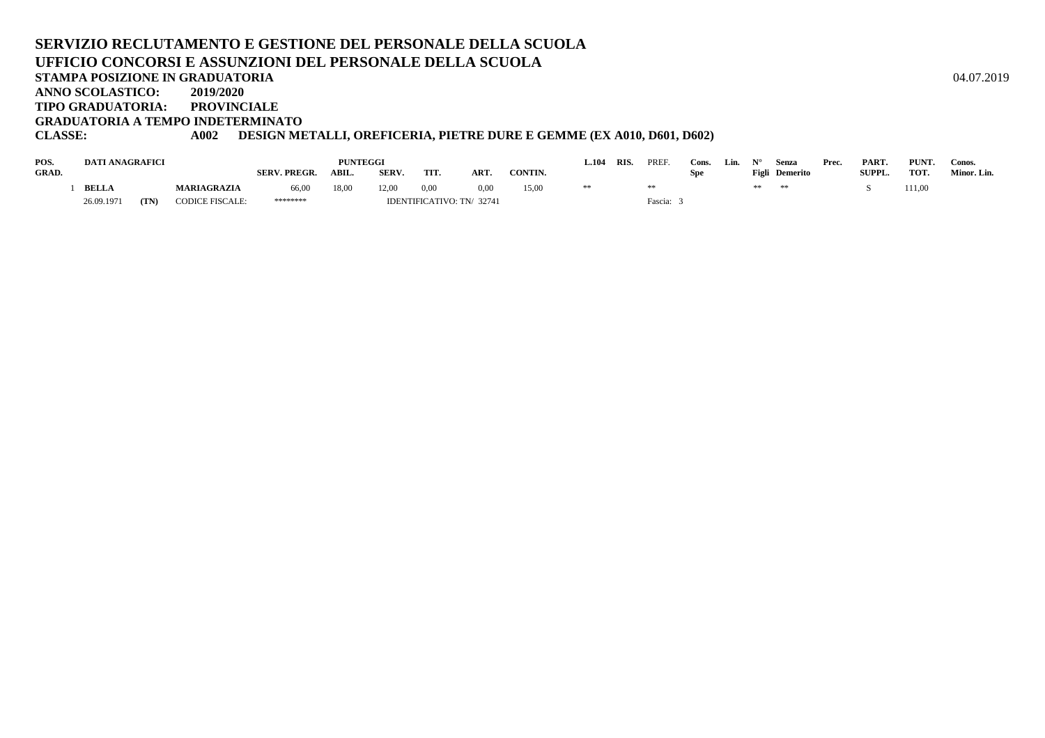#### **SERVIZIO RECLUTAMENTO E GESTIONE DEL PERSONALE DELLA SCUOLAUFFICIO CONCORSI E ASSUNZIONI DEL PERSONALE DELLA SCUOLASTAMPA POSIZIONE IN GRADUATORIA**A  $04.07.2019$ **ANNO SCOLASTICO: 2019/2020 TIPO GRADUATORIA: PROVINCIALEGRADUATORIA A TEMPO INDETERMINATO**

#### **CLASSE: A002 DESIGN METALLI, OREFICERIA, PIETRE DURE E GEMME (EX A010, D601, D602)**

| POS.         | DATI ANAGRAFICI |      |                        |                     | <b>PUNTEGGI</b> |              |                           |            |         | $-.104$ | RIS. | <b>PREF</b> | Cons. | Lin. |    | Senza          | Prec. | PART.  | PUNT.  | Conos.      |
|--------------|-----------------|------|------------------------|---------------------|-----------------|--------------|---------------------------|------------|---------|---------|------|-------------|-------|------|----|----------------|-------|--------|--------|-------------|
| <b>GRAD.</b> |                 |      |                        | <b>SERV. PREGR.</b> | ABIL.           | <b>SERV.</b> | TIT.                      | <b>ART</b> | CONTIN. |         |      |             | Spe   |      |    | Figli Demerito |       | SUPPL. | TOT.   | Minor. Lin. |
|              | <b>BELLA</b>    |      | <b>MARIAGRAZIA</b>     | 66,00               | 18,00           | 12,00        | 0,00                      | 0.00       | 15,00   | **      |      |             |       |      | ** |                |       |        | 111,00 |             |
|              | 26.09.1971      | (TN) | <b>CODICE FISCALE:</b> | ********            |                 |              | IDENTIFICATIVO: TN/ 32741 |            |         |         |      | Fascia:     |       |      |    |                |       |        |        |             |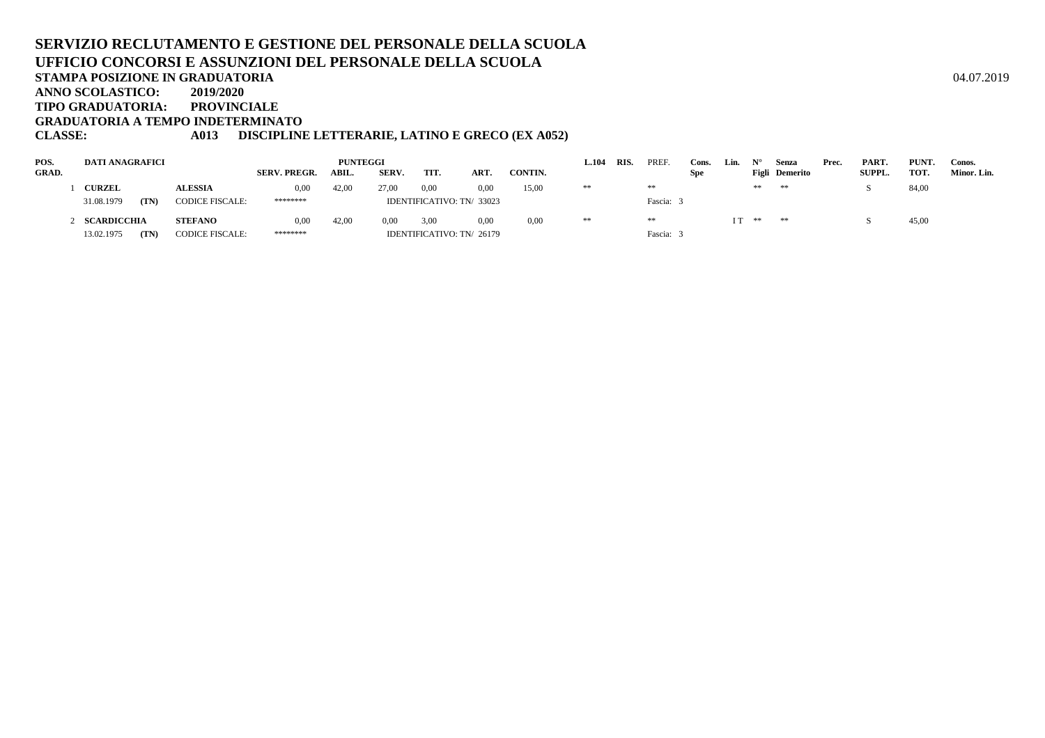#### **SERVIZIO RECLUTAMENTO E GESTIONE DEL PERSONALE DELLA SCUOLAUFFICIO CONCORSI E ASSUNZIONI DEL PERSONALE DELLA SCUOLASTAMPA POSIZIONE IN GRADUATORIA**A  $04.07.2019$ **ANNO SCOLASTICO: 2019/2020 TIPO GRADUATORIA: PROVINCIALE GRADUATORIA A TEMPO INDETERMINATOCLASSE: A013 DISCIPLINE LETTERARIE, LATINO E GRECO (EX A052)**

| POS.         | <b>DATI ANAGRAFICI</b> |                        |                     |       | 1.104 | RIS. | PREF.                     | Cons.   | Lin. |  | Senza   | Prec.      | PART. | PUNT.   | Conos.         |  |               |       |             |
|--------------|------------------------|------------------------|---------------------|-------|-------|------|---------------------------|---------|------|--|---------|------------|-------|---------|----------------|--|---------------|-------|-------------|
| <b>GRAD.</b> |                        |                        | <b>SERV. PREGR.</b> | ABIL. | SERV. | TIT. | ART.                      | CONTIN. |      |  |         | <b>Spe</b> |       |         | Figli Demerito |  | <b>SUPPL.</b> | тот.  | Minor. Lin. |
|              | <b>CURZEL</b>          | <b>ALESSIA</b>         | 0,00                | 42.00 | 27.00 | 0.00 | 0.00                      | 15,00   | **   |  | **      |            |       | **      | **             |  |               | 84,00 |             |
|              | 31.08.1979<br>(TN)     | <b>CODICE FISCALE:</b> | ********            |       |       |      | IDENTIFICATIVO: TN/ 33023 |         |      |  | Fascia: |            |       |         |                |  |               |       |             |
|              | SCARDICCHIA            | <b>STEFANO</b>         | 0.00                | 42.00 | 0.00  | 3,00 | 0.00                      | 0,00    | **   |  | **      |            |       | $IT$ ** | **             |  |               | 45,00 |             |
|              | 13.02.1975<br>(TN)     | <b>CODICE FISCALE:</b> | ********            |       |       |      | IDENTIFICATIVO: TN/ 26179 |         |      |  | Fascia: |            |       |         |                |  |               |       |             |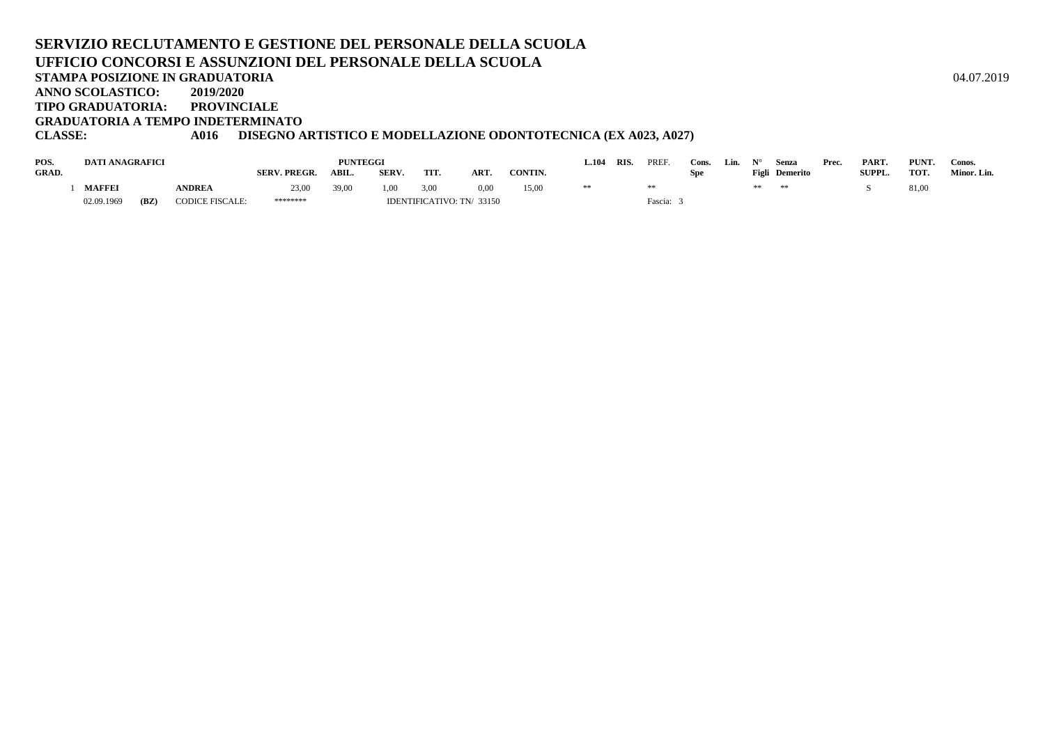#### **SERVIZIO RECLUTAMENTO E GESTIONE DEL PERSONALE DELLA SCUOLAUFFICIO CONCORSI E ASSUNZIONI DEL PERSONALE DELLA SCUOLASTAMPA POSIZIONE IN GRADUATORIA**A  $04.07.2019$ **ANNO SCOLASTICO: 2019/2020 TIPO GRADUATORIA: PROVINCIALEGRADUATORIA A TEMPO INDETERMINATO**

### **CLASSE: A016 DISEGNO ARTISTICO E MODELLAZIONE ODONTOTECNICA (EX A023, A027)**

| POS.         | <b>DATI ANAGRAFICI</b> |      |                        |                     | <b>PUNTEGGI</b> |             |                           |                |         | .104 | <b>RIS</b> | PREF    | Cons | Lin. |       | Senza    | Prec. | <b>PART</b>   | PUNT. | Conos.      |
|--------------|------------------------|------|------------------------|---------------------|-----------------|-------------|---------------------------|----------------|---------|------|------------|---------|------|------|-------|----------|-------|---------------|-------|-------------|
| <b>GRAD.</b> |                        |      |                        | <b>SERV. PREGR.</b> | ABIL.           | <b>SERV</b> | <b>TIT</b>                | ART.           | CONTIN. |      |            |         | Spe  |      | Figli | Demerito |       | <b>SUPPL.</b> | TOT.  | Minor. Lin. |
|              | <b>MAFFEI</b>          |      | <b>NDREA</b>           | 23,00               | 39,00           | 1,00        | 3,00                      | $0.00^{\circ}$ | 15,00   |      |            |         |      |      | **    | **       |       |               | 81,00 |             |
|              | 02.09.1969             | (BZ) | <b>CODICE FISCALE:</b> | ********            |                 |             | IDENTIFICATIVO: TN/ 33150 |                |         |      |            | Fascia: |      |      |       |          |       |               |       |             |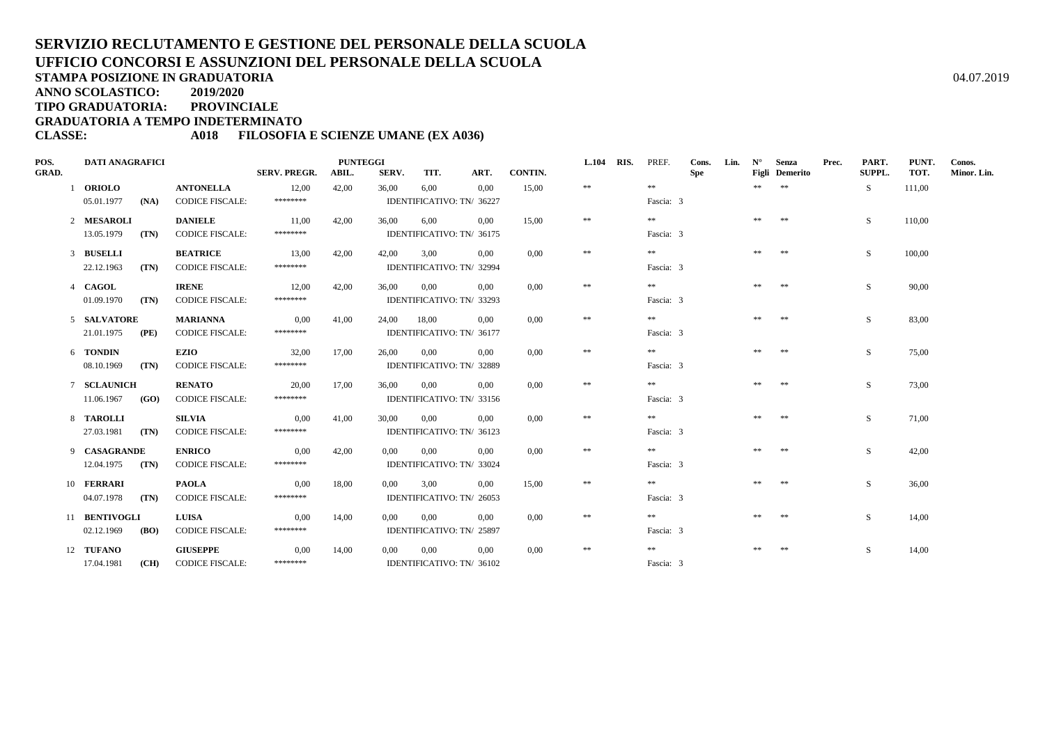**TIPO GRADUATORIA: PROVINCIALE**

**GRADUATORIA A TEMPO INDETERMINATO**

#### **CLASSE: A018 FILOSOFIA E SCIENZE UMANE (EX A036)**

| POS.         | <b>DATI ANAGRAFICI</b> |      |                        |                     | <b>PUNTEGGI</b> |             |      |                           |         | L.104 RIS. | PREF.     | Cons. | Lin. | $N^{\circ}$ | Senza          | Prec. | PART.  | PUNT.  | Conos.      |
|--------------|------------------------|------|------------------------|---------------------|-----------------|-------------|------|---------------------------|---------|------------|-----------|-------|------|-------------|----------------|-------|--------|--------|-------------|
| <b>GRAD.</b> |                        |      |                        | <b>SERV. PREGR.</b> | ABIL.           | SERV.       | TIT. | ART.                      | CONTIN. |            |           | Spe   |      |             | Figli Demerito |       | SUPPL. | TOT.   | Minor. Lin. |
|              | 1 ORIOLO               |      | <b>ANTONELLA</b>       | 12,00               | 42,00           | 36,00       | 6,00 | 0.00                      | 15,00   | $\ast\ast$ | $* *$     |       |      | ** **       |                |       | S.     | 111,00 |             |
|              | 05.01.1977             | (NA) | <b>CODICE FISCALE:</b> | ********            |                 |             |      | IDENTIFICATIVO: TN/ 36227 |         |            | Fascia: 3 |       |      |             |                |       |        |        |             |
|              | 2 MESAROLI             |      | <b>DANIELE</b>         | 11,00               | 42,00           | 36,00       | 6.00 | 0.00                      | 15,00   | $\pm\pm$   | $* *$     |       |      | ** **       |                |       | S.     | 110,00 |             |
|              | 13.05.1979             | (TN) | <b>CODICE FISCALE:</b> | ********            |                 |             |      | IDENTIFICATIVO: TN/ 36175 |         |            | Fascia: 3 |       |      |             |                |       |        |        |             |
|              | 3 BUSELLI              |      | <b>BEATRICE</b>        | 13,00               | 42,00           | 42,00       | 3.00 | $0.00\,$                  | 0.00    | $\ast\ast$ | **        |       |      | ** **       |                |       | S.     | 100,00 |             |
|              | 22.12.1963             | (TN) | <b>CODICE FISCALE:</b> | ********            |                 |             |      | IDENTIFICATIVO: TN/ 32994 |         |            | Fascia: 3 |       |      |             |                |       |        |        |             |
|              | 4 CAGOL                |      | <b>IRENE</b>           | 12,00               | 42,00           | 36.00       | 0.00 | 0.00                      | 0.00    | $\pm\pm$   | **        |       |      | **          | **             |       | S.     | 90,00  |             |
|              | 01.09.1970             | (TN) | <b>CODICE FISCALE:</b> | ********            |                 |             |      | IDENTIFICATIVO: TN/ 33293 |         |            | Fascia: 3 |       |      |             |                |       |        |        |             |
|              | 5 SALVATORE            |      | <b>MARIANNA</b>        | 0,00                | 41,00           | 24,00 18,00 |      | 0,00                      | 0,00    | $\ast\ast$ | **        |       |      | **          | **             |       | S.     | 83,00  |             |
|              | 21.01.1975             | (PE) | <b>CODICE FISCALE:</b> | ********            |                 |             |      | IDENTIFICATIVO: TN/ 36177 |         |            | Fascia: 3 |       |      |             |                |       |        |        |             |
|              | 6 TONDIN               |      | <b>EZIO</b>            | 32,00               | 17,00           | 26.00 0.00  |      | 0.00                      | 0.00    | $\ast\ast$ | $* *$     |       |      | **          | **             |       | S.     | 75,00  |             |
|              | 08.10.1969             | (TN) | <b>CODICE FISCALE:</b> | ********            |                 |             |      | IDENTIFICATIVO: TN/ 32889 |         |            | Fascia: 3 |       |      |             |                |       |        |        |             |
|              | 7 SCLAUNICH            |      | <b>RENATO</b>          | 20,00               | 17,00           | 36.00       | 0.00 | 0,00                      | 0.00    | $\ast\ast$ | $* *$     |       |      | **          | $\pm\pm$       |       | S.     | 73,00  |             |
|              | 11.06.1967             | (GO) | <b>CODICE FISCALE:</b> | ********            |                 |             |      | IDENTIFICATIVO: TN/ 33156 |         |            | Fascia: 3 |       |      |             |                |       |        |        |             |
|              | 8 TAROLLI              |      | <b>SILVIA</b>          | 0,00                | 41,00           | 30.00       | 0.00 | 0.00                      | 0.00    | $\ast\ast$ | $* *$     |       |      | **          | **             |       | S.     | 71,00  |             |
|              | 27.03.1981             | (TN) | <b>CODICE FISCALE:</b> | ********            |                 |             |      | IDENTIFICATIVO: TN/ 36123 |         |            | Fascia: 3 |       |      |             |                |       |        |        |             |
|              | 9 CASAGRANDE           |      | <b>ENRICO</b>          | 0,00                | 42,00           | $0.00\,$    | 0.00 | 0.00                      | 0.00    | $\ast\ast$ | $* *$     |       |      | **          | **             |       | S.     | 42,00  |             |
|              | $12.04.1975$ (TN)      |      | <b>CODICE FISCALE:</b> | ********            |                 |             |      | IDENTIFICATIVO: TN/ 33024 |         |            | Fascia: 3 |       |      |             |                |       |        |        |             |
|              | 10 FERRARI             |      | <b>PAOLA</b>           | 0.00                | 18,00           | 0.00        | 3.00 | 0.00                      | 15.00   | $\ast\ast$ | **        |       |      | **          | **             |       | S.     | 36,00  |             |
|              | 04.07.1978             | (TN) | <b>CODICE FISCALE:</b> | ********            |                 |             |      | IDENTIFICATIVO: TN/ 26053 |         |            | Fascia: 3 |       |      |             |                |       |        |        |             |
|              | 11 BENTIVOGLI          |      | <b>LUISA</b>           | 0,00                | 14,00           | $0.00\,$    | 0.00 | 0.00                      | 0.00    | $\ast\ast$ | **        |       |      | **          | **             |       | S.     | 14,00  |             |
|              | 02.12.1969             | (BO) | <b>CODICE FISCALE:</b> | ********            |                 |             |      | IDENTIFICATIVO: TN/ 25897 |         |            | Fascia: 3 |       |      |             |                |       |        |        |             |
|              | 12 TUFANO              |      | <b>GIUSEPPE</b>        | 0,00                | 14,00           | $0.00\,$    | 0,00 | $0.00\,$                  | 0,00    | $\ast\ast$ | **        |       |      | **          | **             |       | S.     | 14,00  |             |
|              | 17.04.1981             |      | (CH) CODICE FISCALE:   | ********            |                 |             |      | IDENTIFICATIVO: TN/ 36102 |         |            | Fascia: 3 |       |      |             |                |       |        |        |             |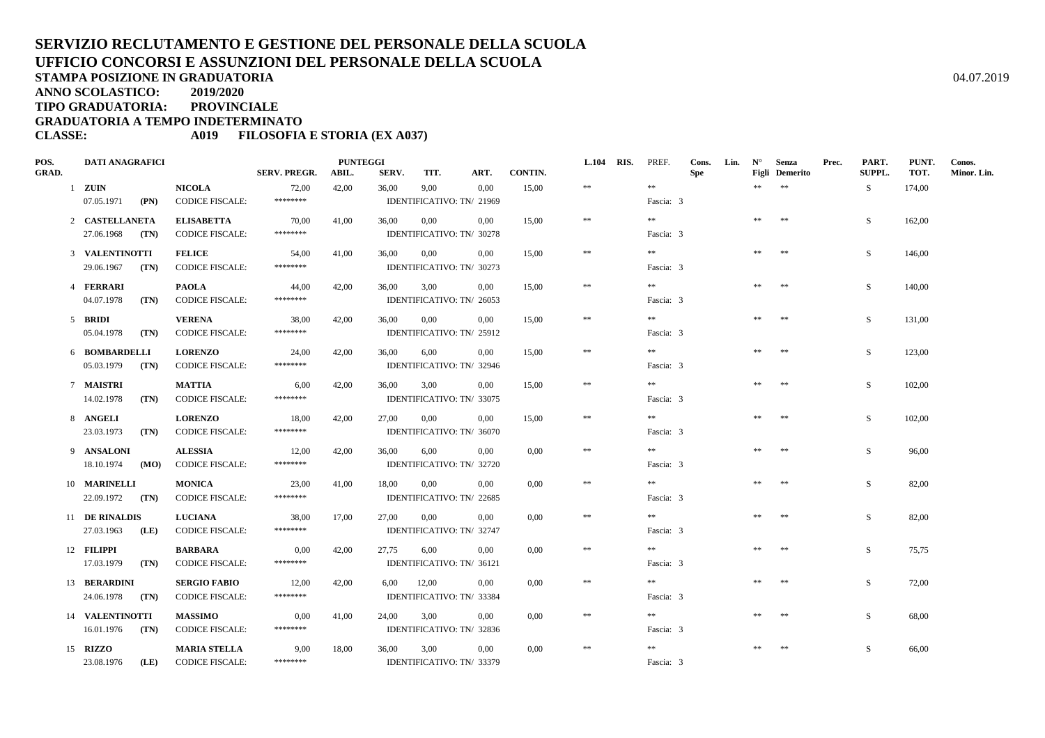**TIPO GRADUATORIA: PROVINCIALE**

**GRADUATORIA A TEMPO INDETERMINATO**

#### **CLASSE: A019 FILOSOFIA E STORIA (EX A037)**

| POS.         | <b>DATI ANAGRAFICI</b> |                                         |                     | <b>PUNTEGGI</b> |       |                                   |                           |         | L.104 RIS. | PREF.     | Cons.      | Lin. | $N^{\circ}$ | Senza                 | Prec. | PART.  | PUNT.  | Conos.      |
|--------------|------------------------|-----------------------------------------|---------------------|-----------------|-------|-----------------------------------|---------------------------|---------|------------|-----------|------------|------|-------------|-----------------------|-------|--------|--------|-------------|
| <b>GRAD.</b> |                        |                                         | <b>SERV. PREGR.</b> | ABIL.           | SERV. | TIT.                              | ART.                      | CONTIN. |            |           | <b>Spe</b> |      |             | <b>Figli</b> Demerito |       | SUPPL. | TOT.   | Minor. Lin. |
|              | $1$ ZUIN               | <b>NICOLA</b>                           | 72,00               | 42,00           | 36,00 | 9,00                              | 0,00                      | 15,00   | $\pm\pm$   | $\pm\pm$  |            |      | **          | $\pm\pm$              |       | S      | 174,00 |             |
|              | 07.05.1971<br>(PN)     | <b>CODICE FISCALE:</b>                  | ********            |                 |       | IDENTIFICATIVO: TN/ 21969         |                           |         |            | Fascia: 3 |            |      |             |                       |       |        |        |             |
|              | 2 CASTELLANETA         | <b>ELISABETTA</b>                       | 70,00               | 41,00           | 36,00 | 0,00                              | $0.00\,$                  | 15,00   | $\pm\pm$   | **        |            |      | **          | **                    |       | S      | 162,00 |             |
|              | 27.06.1968<br>(TN)     | <b>CODICE FISCALE:</b>                  | ********            |                 |       | IDENTIFICATIVO: TN/ 30278         |                           |         |            | Fascia: 3 |            |      |             |                       |       |        |        |             |
|              | 3 VALENTINOTTI         | <b>FELICE</b>                           | 54,00               | 41,00           | 36,00 | 0,00                              | 0,00                      | 15,00   | $\ast$     | $\pm\pm$  |            |      | **          | 米米                    |       | S      | 146,00 |             |
|              | 29.06.1967<br>(TN)     | <b>CODICE FISCALE:</b>                  | ********            |                 |       | IDENTIFICATIVO: TN/ 30273         |                           |         |            | Fascia: 3 |            |      |             |                       |       |        |        |             |
|              | 4 FERRARI              | <b>PAOLA</b>                            | 44,00               | 42,00           | 36,00 | 3,00                              | 0.00                      | 15.00   | $\ast$     | $\pm\pm$  |            |      | **          | $**$                  |       | S      | 140,00 |             |
|              | 04.07.1978<br>(TN)     | <b>CODICE FISCALE:</b>                  | ********            |                 |       | IDENTIFICATIVO: TN/ 26053         |                           |         |            | Fascia: 3 |            |      |             |                       |       |        |        |             |
|              |                        |                                         |                     |                 |       |                                   |                           |         |            | **        |            |      |             |                       |       |        |        |             |
|              | 5 BRIDI<br>05.04.1978  | <b>VERENA</b><br><b>CODICE FISCALE:</b> | 38,00<br>********   | 42,00           | 36,00 | 0,00<br>IDENTIFICATIVO: TN/ 25912 | $0.00\,$                  | 15.00   | $\ast$     | Fascia: 3 |            |      | $**$        | $**$                  |       | S      | 131.00 |             |
|              | (TN)                   |                                         |                     |                 |       |                                   |                           |         |            |           |            |      |             |                       |       |        |        |             |
|              | 6 BOMBARDELLI          | <b>LORENZO</b>                          | 24,00               | 42,00           | 36,00 | 6,00                              | 0.00                      | 15,00   | $\ast\ast$ | $\pm\pm$  |            |      | **          | $**$                  |       | S      | 123,00 |             |
|              | 05.03.1979<br>(TN)     | <b>CODICE FISCALE:</b>                  | ********            |                 |       |                                   | IDENTIFICATIVO: TN/ 32946 |         |            | Fascia: 3 |            |      |             |                       |       |        |        |             |
|              | 7 MAISTRI              | <b>MATTIA</b>                           | 6,00                | 42,00           | 36,00 | 3,00                              | $0.00\,$                  | 15,00   | $\ast\ast$ | **        |            |      | **          | 米米                    |       | S      | 102,00 |             |
|              | 14.02.1978<br>(TN)     | <b>CODICE FISCALE:</b>                  | ********            |                 |       | IDENTIFICATIVO: TN/ 33075         |                           |         |            | Fascia: 3 |            |      |             |                       |       |        |        |             |
|              | 8 ANGELI               | <b>LORENZO</b>                          | 18,00               | 42,00           | 27,00 | 0,00                              | 0,00                      | 15,00   | $\ast\ast$ | $\pm\pm$  |            |      | **          | **                    |       | S      | 102,00 |             |
|              | 23.03.1973<br>(TN)     | <b>CODICE FISCALE:</b>                  | ********            |                 |       | IDENTIFICATIVO: TN/ 36070         |                           |         |            | Fascia: 3 |            |      |             |                       |       |        |        |             |
|              | 9 ANSALONI             | <b>ALESSIA</b>                          | 12,00               | 42,00           | 36,00 | 6,00                              | 0.00                      | 0,00    | $\ast$     | $\pm\pm$  |            |      | **          | **                    |       | S      | 96,00  |             |
|              | 18.10.1974<br>(MO)     | <b>CODICE FISCALE:</b>                  | ********            |                 |       | IDENTIFICATIVO: TN/ 32720         |                           |         |            | Fascia: 3 |            |      |             |                       |       |        |        |             |
|              | 10 MARINELLI           | <b>MONICA</b>                           | 23,00               | 41,00           | 18,00 | 0,00                              | 0,00                      | 0,00    | $\ast$     | $\pm\pm$  |            |      | $\pm\pm$    | $\pm\pm$              |       | S      | 82,00  |             |
|              | 22.09.1972<br>(TN)     | <b>CODICE FISCALE:</b>                  | ********            |                 |       | IDENTIFICATIVO: TN/ 22685         |                           |         |            | Fascia: 3 |            |      |             |                       |       |        |        |             |
|              | 11 DE RINALDIS         | <b>LUCIANA</b>                          | 38,00               | 17,00           | 27,00 | 0,00                              | 0.00                      | 0.00    | $\ast\ast$ | **        |            |      | **          | **                    |       | S.     | 82,00  |             |
|              | 27.03.1963<br>(LE)     | <b>CODICE FISCALE:</b>                  | ********            |                 |       | IDENTIFICATIVO: TN/ 32747         |                           |         |            | Fascia: 3 |            |      |             |                       |       |        |        |             |
|              |                        |                                         |                     |                 |       |                                   |                           |         |            |           |            |      |             |                       |       |        |        |             |
|              | 12 FILIPPI             | <b>BARBARA</b>                          | 0,00<br>********    | 42,00           | 27,75 | 6,00                              | 0.00                      | 0,00    | $\ast\ast$ | $\pm\pm$  |            |      | **          | $**$                  |       | S      | 75,75  |             |
|              | 17.03.1979<br>(TN)     | <b>CODICE FISCALE:</b>                  |                     |                 |       | IDENTIFICATIVO: TN/ 36121         |                           |         |            | Fascia: 3 |            |      |             |                       |       |        |        |             |
|              | 13 BERARDINI           | <b>SERGIO FABIO</b>                     | 12,00               | 42,00           | 6,00  | 12,00                             | 0.00                      | 0,00    | $\pm\pm$   | $\pm\pm$  |            |      |             | **                    |       | S      | 72,00  |             |
|              | 24.06.1978<br>(TN)     | <b>CODICE FISCALE:</b>                  | ********            |                 |       | IDENTIFICATIVO: TN/ 33384         |                           |         |            | Fascia: 3 |            |      |             |                       |       |        |        |             |
|              | 14 VALENTINOTTI        | <b>MASSIMO</b>                          | 0,00                | 41,00           | 24.00 | 3.00                              | 0.00                      | 0.00    | $\pm\pm$   | **        |            |      | **          | $\pm\pm$              |       | S      | 68,00  |             |
|              | 16.01.1976<br>(TN)     | <b>CODICE FISCALE:</b>                  | ********            |                 |       |                                   | IDENTIFICATIVO: TN/ 32836 |         |            | Fascia: 3 |            |      |             |                       |       |        |        |             |
|              | 15 RIZZO               | <b>MARIA STELLA</b>                     | 9,00                | 18,00           | 36,00 | 3,00                              | $0.00\,$                  | 0,00    | $\ast\ast$ | $\pm\pm$  |            |      | **          | $\pm\pm$              |       | S      | 66,00  |             |
|              | 23.08.1976<br>(LE)     | <b>CODICE FISCALE:</b>                  | ********            |                 |       | IDENTIFICATIVO: TN/ 33379         |                           |         |            | Fascia: 3 |            |      |             |                       |       |        |        |             |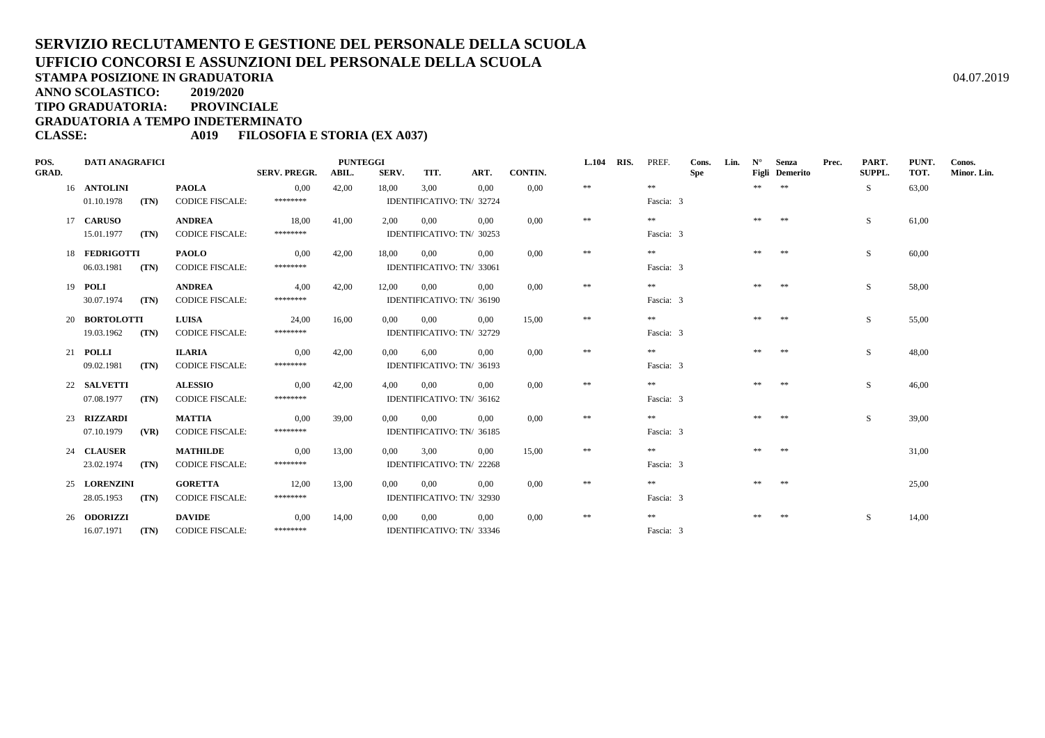**TIPO GRADUATORIA: PROVINCIALE**

**GRADUATORIA A TEMPO INDETERMINATO**

#### **CLASSE: A019 FILOSOFIA E STORIA (EX A037)**

| POS.         | <b>DATI ANAGRAFICI</b> |      |                        |                     | <b>PUNTEGGI</b> |          |                           |          |                | <b>L.104</b> | RIS. | PREF.     | Cons.      | Lin. | $N^{\circ}$ | Senza                                         | Prec. | PART.         | PUNT. | Conos.      |
|--------------|------------------------|------|------------------------|---------------------|-----------------|----------|---------------------------|----------|----------------|--------------|------|-----------|------------|------|-------------|-----------------------------------------------|-------|---------------|-------|-------------|
| <b>GRAD.</b> |                        |      |                        | <b>SERV. PREGR.</b> | ABIL.           | SERV.    | TIT.                      | ART.     | <b>CONTIN.</b> |              |      |           | <b>Spe</b> |      |             | <b>Figli</b> Demerito                         |       | <b>SUPPL.</b> | TOT.  | Minor. Lin. |
|              | 16 ANTOLINI            |      | <b>PAOLA</b>           | 0.00                | 42,00           | 18,00    | 3,00                      | 0.00     | 0.00           | $\pm\pm$     |      | **        |            |      | **          | $\begin{array}{c} \ast \ast \ast \end{array}$ |       | -S            | 63,00 |             |
|              | 01.10.1978             | (TN) | <b>CODICE FISCALE:</b> | ********            |                 |          | IDENTIFICATIVO: TN/ 32724 |          |                |              |      | Fascia: 3 |            |      |             |                                               |       |               |       |             |
|              | 17 CARUSO              |      | <b>ANDREA</b>          | 18,00               | 41,00           | 2,00     | 0,00                      | $0.00\,$ | 0.00           | **           |      | **        |            |      | **          | **                                            |       | S.            | 61,00 |             |
|              | 15.01.1977             | (TN) | <b>CODICE FISCALE:</b> | ********            |                 |          | IDENTIFICATIVO: TN/ 30253 |          |                |              |      | Fascia: 3 |            |      |             |                                               |       |               |       |             |
|              | 18 FEDRIGOTTI          |      | <b>PAOLO</b>           | 0,00                | 42,00           | 18.00    | 0.00                      | 0.00     | 0.00           | $\pm\pm$     |      | **        |            |      | **          | **                                            |       | S.            | 60,00 |             |
|              | 06.03.1981             | (TN) | <b>CODICE FISCALE:</b> | ********            |                 |          | IDENTIFICATIVO: TN/ 33061 |          |                |              |      | Fascia: 3 |            |      |             |                                               |       |               |       |             |
|              | 19 <b>POLI</b>         |      | <b>ANDREA</b>          | 4,00                | 42,00           | 12,00    | 0,00                      | 0.00     | 0.00           | $\pm\pm$     |      | $**$      |            |      | $\pm\pm$    | **                                            |       | S             | 58,00 |             |
|              | 30.07.1974             | (TN) | <b>CODICE FISCALE:</b> | ********            |                 |          | IDENTIFICATIVO: TN/ 36190 |          |                |              |      | Fascia: 3 |            |      |             |                                               |       |               |       |             |
|              | 20 BORTOLOTTI          |      | <b>LUISA</b>           | 24,00               | 16,00           | $0.00\,$ | 0,00                      | 0,00     | 15,00          | $\pm\pm$     |      | **        |            |      | **          | **                                            |       | S             | 55,00 |             |
|              | 19.03.1962             | (TN) | <b>CODICE FISCALE:</b> | ********            |                 |          | IDENTIFICATIVO: TN/ 32729 |          |                |              |      | Fascia: 3 |            |      |             |                                               |       |               |       |             |
|              | 21 <b>POLLI</b>        |      | <b>ILARIA</b>          | 0.00                | 42,00           | 0.00     | 6.00                      | 0.00     | 0.00           | $\pm\pm$     |      | **        |            |      |             | **                                            |       | S             | 48.00 |             |
|              | 09.02.1981             | (TN) | <b>CODICE FISCALE:</b> | ********            |                 |          | IDENTIFICATIVO: TN/ 36193 |          |                |              |      | Fascia: 3 |            |      |             |                                               |       |               |       |             |
|              | 22 SALVETTI            |      | <b>ALESSIO</b>         | 0,00                | 42,00           | 4,00     | 0.00                      | 0.00     | 0.00           | **           |      | $* *$     |            |      | **          | **                                            |       | S.            | 46,00 |             |
|              | 07.08.1977             | (TN) | <b>CODICE FISCALE:</b> | ********            |                 |          | IDENTIFICATIVO: TN/ 36162 |          |                |              |      | Fascia: 3 |            |      |             |                                               |       |               |       |             |
|              | 23 RIZZARDI            |      | <b>MATTIA</b>          | 0,00                | 39,00           | 0,00     | 0.00                      | 0.00     | 0.00           | $\pm\pm$     |      | $* *$     |            |      | **          | **                                            |       | S.            | 39,00 |             |
|              | 07.10.1979             | (VR) | <b>CODICE FISCALE:</b> | ********            |                 |          | IDENTIFICATIVO: TN/ 36185 |          |                |              |      | Fascia: 3 |            |      |             |                                               |       |               |       |             |
|              | 24 CLAUSER             |      | <b>MATHILDE</b>        | 0,00                | 13,00           | 0,00     | 3.00                      | 0.00     | 15.00          | $\pm\pm$     |      | **        |            |      | **          | **                                            |       |               | 31,00 |             |
|              | 23.02.1974             | (TN) | <b>CODICE FISCALE:</b> | ********            |                 |          | IDENTIFICATIVO: TN/ 22268 |          |                |              |      | Fascia: 3 |            |      |             |                                               |       |               |       |             |
|              | 25 LORENZINI           |      | <b>GORETTA</b>         | 12,00               | 13,00           | 0.00     | 0.00                      | 0.00     | 0.00           | $\pm\pm$     |      | **        |            |      |             | $\pm\pm$                                      |       |               | 25,00 |             |
|              | 28.05.1953             | (TN) | <b>CODICE FISCALE:</b> | ********            |                 |          | IDENTIFICATIVO: TN/ 32930 |          |                |              |      | Fascia: 3 |            |      |             |                                               |       |               |       |             |
|              | 26 <b>ODORIZZI</b>     |      | <b>DAVIDE</b>          | 0,00                | 14,00           | 0,00     | 0,00                      | 0.00     | 0.00           | **           |      | **        |            |      | **          | $\pm\pm$                                      |       | S.            | 14,00 |             |
|              | 16.07.1971             | (TN) | <b>CODICE FISCALE:</b> | ********            |                 |          | IDENTIFICATIVO: TN/ 33346 |          |                |              |      | Fascia: 3 |            |      |             |                                               |       |               |       |             |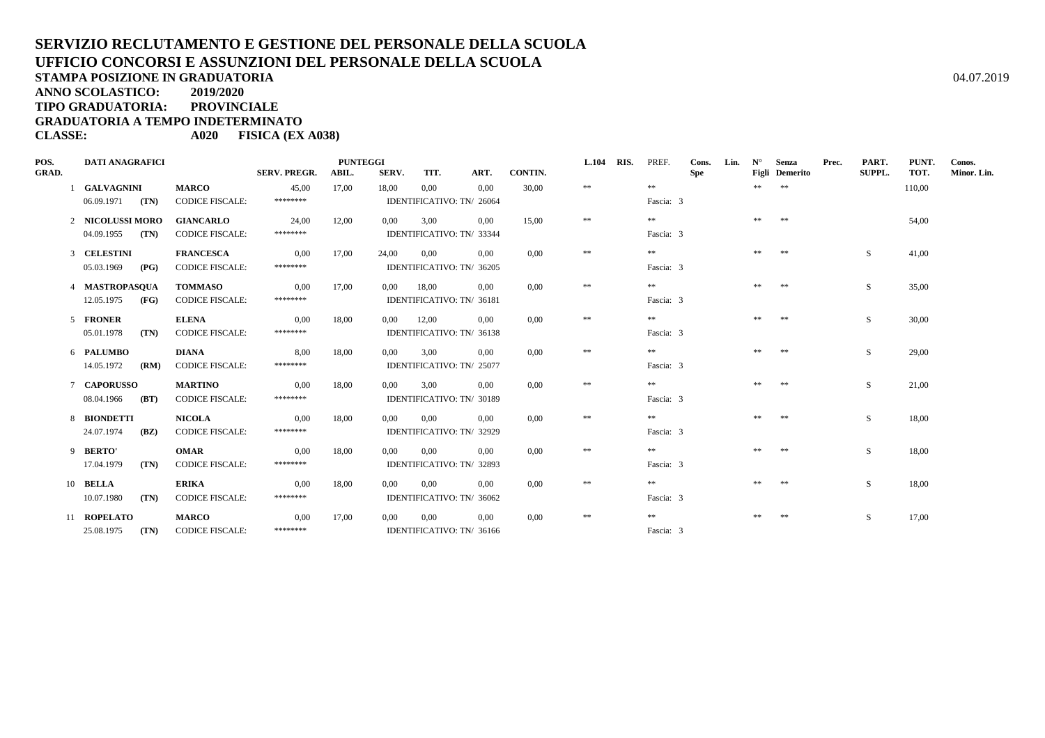**STAMPA POSIZIONE IN GRADUATORIA**

**ANNO SCOLASTICO:2019/2020**

**TIPO GRADUATORIA: PROVINCIALE**

**GRADUATORIA A TEMPO INDETERMINATO**

**CLASSE: A020 FISICA (EX A038)**

| POS.<br><b>GRAD.</b> | <b>DATI ANAGRAFICI</b> |                        | <b>SERV. PREGR.</b> | <b>PUNTEGGI</b><br>ABIL. | SERV.          | TIT.                      | ART.                      | CONTIN. | L.104 RIS. | PREF.     | Cons.<br>Spe | Lin. | $N^{\circ}$ | Senza<br>Figli Demerito | Prec. | PART.<br>SUPPL. | PUNT.<br>TOT. | Conos.<br>Minor. Lin. |
|----------------------|------------------------|------------------------|---------------------|--------------------------|----------------|---------------------------|---------------------------|---------|------------|-----------|--------------|------|-------------|-------------------------|-------|-----------------|---------------|-----------------------|
|                      | <b>GALVAGNINI</b>      | <b>MARCO</b>           | 45,00               | 17,00                    | 18,00          | 0,00                      | 0.00                      | 30,00   | $\pm\pm$   | $\pm\pm$  |              |      | **          | $* *$                   |       |                 | 110,00        |                       |
|                      | $06.09.1971$ (TN)      | <b>CODICE FISCALE:</b> | ********            |                          |                |                           | IDENTIFICATIVO: TN/ 26064 |         |            | Fascia: 3 |              |      |             |                         |       |                 |               |                       |
|                      | 2 NICOLUSSI MORO       | <b>GIANCARLO</b>       | 24,00               | 12,00                    | $0.00\,$       | 3,00                      | $0.00\,$                  | 15,00   | $\pm\pm$   | $\pm\pm$  |              |      | **          | **                      |       |                 | 54,00         |                       |
|                      | 04.09.1955<br>(TN)     | <b>CODICE FISCALE:</b> | ********            |                          |                |                           | IDENTIFICATIVO: TN/ 33344 |         |            | Fascia: 3 |              |      |             |                         |       |                 |               |                       |
|                      | 3 CELESTINI            | <b>FRANCESCA</b>       | 0,00                | 17,00                    | 24,00          | $0.00\,$                  | 0.00                      | 0.00    | $\pm\pm$   | $* *$     |              |      | **          | **                      |       | S               | 41,00         |                       |
|                      | 05.03.1969<br>(PG)     | <b>CODICE FISCALE:</b> | ********            |                          |                |                           | IDENTIFICATIVO: TN/ 36205 |         |            | Fascia: 3 |              |      |             |                         |       |                 |               |                       |
|                      | 4 MASTROPASOUA         | <b>TOMMASO</b>         | 0,00                | 17,00                    | $0.00\,$       | 18,00                     | 0.00                      | 0,00    | $\ast\ast$ | $***$     |              |      | **          | **                      |       | S               | 35,00         |                       |
|                      | 12.05.1975<br>(FG)     | <b>CODICE FISCALE:</b> | ********            |                          |                | IDENTIFICATIVO: TN/ 36181 |                           |         |            | Fascia: 3 |              |      |             |                         |       |                 |               |                       |
|                      | 5 FRONER               | <b>ELENA</b>           | 0,00                | 18,00                    | $0.00\,$       | 12,00                     | $0.00\,$                  | 0,00    | $\ast\ast$ | **        |              |      |             | **                      |       | <sub>S</sub>    | 30,00         |                       |
|                      | 05.01.1978<br>(TN)     | <b>CODICE FISCALE:</b> | ********            |                          |                |                           | IDENTIFICATIVO: TN/ 36138 |         |            | Fascia: 3 |              |      |             |                         |       |                 |               |                       |
|                      | 6 PALUMBO              | DIANA                  | 8.00                | 18,00                    | 0.00           | 3,00                      | 0.00                      | 0.00    | $\pm\pm$   | **        |              |      | **          | **                      |       | S.              | 29,00         |                       |
|                      | 14.05.1972<br>(RM)     | <b>CODICE FISCALE:</b> | ********            |                          |                |                           | IDENTIFICATIVO: TN/ 25077 |         |            | Fascia: 3 |              |      |             |                         |       |                 |               |                       |
|                      | 7 CAPORUSSO            | <b>MARTINO</b>         | 0,00                | 18,00                    | $0.00^{\circ}$ | 3.00                      | 0.00                      | 0.00    | $\pm\pm$   | $***$     |              |      | **          | **                      |       | S               | 21,00         |                       |
|                      | 08.04.1966<br>(BT)     | <b>CODICE FISCALE:</b> | ********            |                          |                |                           | IDENTIFICATIVO: TN/ 30189 |         |            | Fascia: 3 |              |      |             |                         |       |                 |               |                       |
|                      | 8 BIONDETTI            | <b>NICOLA</b>          | 0.00                | 18,00                    | 0.00           | $0.00\,$                  | 0.00                      | 0.00    | $\pm\pm$   | **        |              |      | $\pm \pm$   | $**$                    |       | S               | 18,00         |                       |
|                      | 24.07.1974<br>(BZ)     | <b>CODICE FISCALE:</b> | ********            |                          |                |                           | IDENTIFICATIVO: TN/ 32929 |         |            | Fascia: 3 |              |      |             |                         |       |                 |               |                       |
|                      | 9 BERTO'               | <b>OMAR</b>            | 0,00                | 18,00                    | 0,00           | 0,00                      | 0.00                      | 0.00    | $\pm\pm$   | **        |              |      | **          | 米米                      |       | S.              | 18,00         |                       |
|                      | (TN)<br>17.04.1979     | <b>CODICE FISCALE:</b> | ********            |                          |                |                           | IDENTIFICATIVO: TN/ 32893 |         |            | Fascia: 3 |              |      |             |                         |       |                 |               |                       |
|                      | 10 BELLA               | <b>ERIKA</b>           | 0,00                | 18,00                    | 0.00           | 0,00                      | 0.00                      | 0.00    | $\pm\pm$   | **        |              |      |             | **                      |       | S.              | 18,00         |                       |
|                      | 10.07.1980<br>(TN)     | <b>CODICE FISCALE:</b> | ********            |                          |                |                           | IDENTIFICATIVO: TN/ 36062 |         |            | Fascia: 3 |              |      |             |                         |       |                 |               |                       |
|                      | 11 ROPELATO            | <b>MARCO</b>           | 0.00                | 17,00                    | 0.00           | 0,00                      | 0.00                      | 0.00    | $\pm\pm$   | **        |              |      | **          | **                      |       | S               | 17,00         |                       |
|                      | 25.08.1975<br>(TN)     | <b>CODICE FISCALE:</b> | ********            |                          |                |                           | IDENTIFICATIVO: TN/ 36166 |         |            | Fascia: 3 |              |      |             |                         |       |                 |               |                       |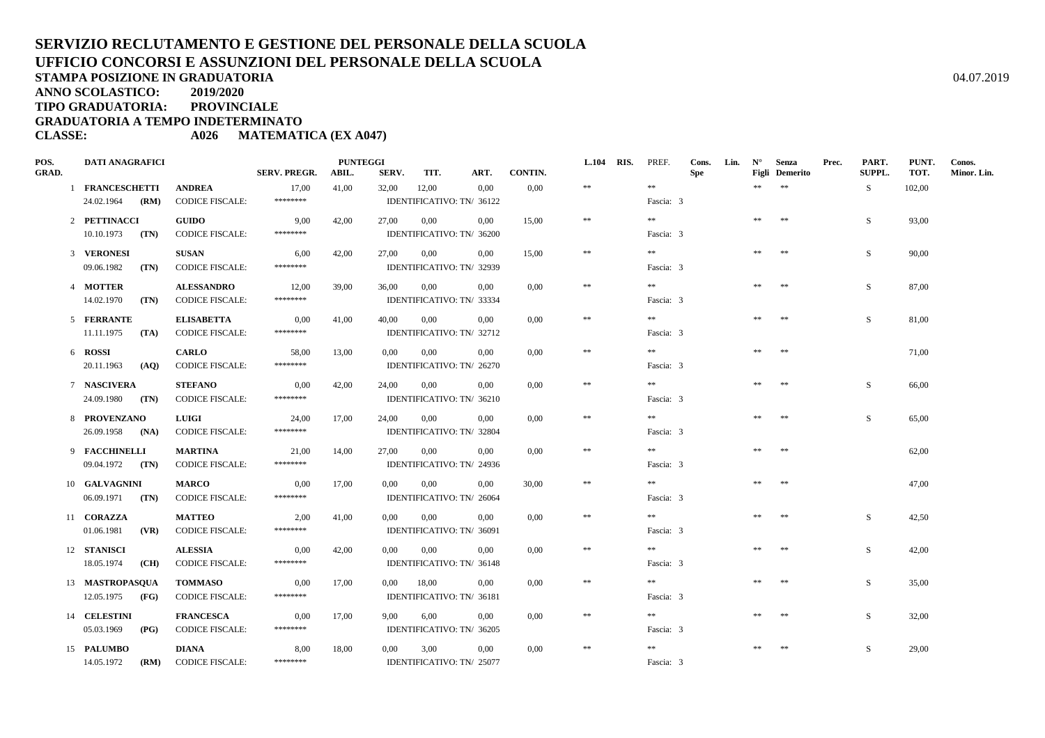**ANNO SCOLASTICO:2019/2020**

**TIPO GRADUATORIA: PROVINCIALE**

**GRADUATORIA A TEMPO INDETERMINATO**

**CLASSE: A026 MATEMATICA (EX A047)**

| POS.         | <b>DATI ANAGRAFICI</b>                                                |                                                                             |                             | <b>PUNTEGGI</b> |          |              |                                                                        |                  | <b>L.104</b> | RIS. | PREF.                        | Cons.      | Lin. | $N^{\circ}$ | Senza                 | Prec. | PART.         | PUNT.          | Conos.      |
|--------------|-----------------------------------------------------------------------|-----------------------------------------------------------------------------|-----------------------------|-----------------|----------|--------------|------------------------------------------------------------------------|------------------|--------------|------|------------------------------|------------|------|-------------|-----------------------|-------|---------------|----------------|-------------|
| <b>GRAD.</b> |                                                                       |                                                                             | <b>SERV. PREGR.</b>         | ABIL.           | SERV.    | TIT.         | ART.                                                                   | CONTIN.          |              |      |                              | <b>Spe</b> |      |             | <b>Figli</b> Demerito |       | <b>SUPPL.</b> | TOT.           | Minor. Lin. |
|              | 1 FRANCESCHETTI                                                       | <b>ANDREA</b>                                                               | 17,00                       | 41,00           | 32,00    | 12,00        | 0,00                                                                   | 0,00             | $\pm\pm$     |      | $\pm\pm$                     |            |      | **          | $\pm\pm$              |       | S.            | 102,00         |             |
|              | 24.02.1964<br>(RM)                                                    | <b>CODICE FISCALE:</b>                                                      | ********                    |                 |          |              | IDENTIFICATIVO: TN/ 36122                                              |                  |              |      | Fascia: 3                    |            |      |             |                       |       |               |                |             |
|              | 2 PETTINACCI                                                          | <b>GUIDO</b>                                                                | 9,00                        | 42,00           | 27,00    | 0,00         | 0.00                                                                   | 15,00            | $\ast\ast$   |      | **                           |            |      | $*$         | **                    |       | S             | 93,00          |             |
|              | 10.10.1973<br>(TN)                                                    | <b>CODICE FISCALE:</b>                                                      | ********                    |                 |          |              | IDENTIFICATIVO: TN/ 36200                                              |                  |              |      | Fascia: 3                    |            |      |             |                       |       |               |                |             |
|              | 3 VERONESI                                                            | <b>SUSAN</b>                                                                | 6,00                        | 42,00           | 27,00    | 0,00         | 0,00                                                                   | 15,00            | $\ast\ast$   |      | $\gg \gg$                    |            |      | **          | **                    |       | S             | 90,00          |             |
|              | 09.06.1982<br>(TN)                                                    | <b>CODICE FISCALE:</b>                                                      | ********                    |                 |          |              | IDENTIFICATIVO: TN/ 32939                                              |                  |              |      | Fascia: 3                    |            |      |             |                       |       |               |                |             |
|              | 4 MOTTER                                                              | <b>ALESSANDRO</b>                                                           | 12,00                       | 39,00           | 36,00    | 0,00         | 0,00                                                                   | 0.00             | $\pm\pm$     |      | $\gg \gg$                    |            |      | **          | $\pm\pm$              |       | S.            | 87,00          |             |
|              | 14.02.1970<br>(TN)                                                    | <b>CODICE FISCALE:</b>                                                      | ********                    |                 |          |              | IDENTIFICATIVO: TN/ 33334                                              |                  |              |      | Fascia: 3                    |            |      |             |                       |       |               |                |             |
|              | 5 FERRANTE                                                            | <b>ELISABETTA</b>                                                           |                             |                 |          | 0,00         | 0.00                                                                   | 0.00             | $\ast\ast$   |      | **                           |            |      | $\pm\pm$    | $\pm\pm$              |       | S             | 81,00          |             |
|              | 11.11.1975<br>(TA)                                                    | <b>CODICE FISCALE:</b>                                                      | 0,00<br>********            | 41,00           | 40,00    |              | IDENTIFICATIVO: TN/ 32712                                              |                  |              |      | Fascia: 3                    |            |      |             |                       |       |               |                |             |
|              |                                                                       |                                                                             |                             |                 |          |              |                                                                        |                  |              |      |                              |            |      |             |                       |       |               |                |             |
|              | 6 ROSSI                                                               | <b>CARLO</b>                                                                | 58,00<br>********           | 13,00           | $0.00\,$ | 0,00         | 0,00                                                                   | 0,00             | $\ast\ast$   |      | **                           |            |      | **          | $\pm\pm$              |       |               | 71,00          |             |
|              | 20.11.1963<br>(AO)                                                    | <b>CODICE FISCALE:</b>                                                      |                             |                 |          |              | IDENTIFICATIVO: TN/ 26270                                              |                  |              |      | Fascia: 3                    |            |      |             |                       |       |               |                |             |
|              | 7 NASCIVERA                                                           | <b>STEFANO</b>                                                              | 0,00                        | 42,00           | 24,00    | 0,00         | 0.00                                                                   | 0,00             | $\ast\ast$   |      | **                           |            |      | $\pm\pm$    | $\pm\pm$              |       | S             | 66,00          |             |
|              | 24.09.1980 (TN)                                                       | <b>CODICE FISCALE:</b>                                                      | ********                    |                 |          |              | IDENTIFICATIVO: TN/ 36210                                              |                  |              |      | Fascia: 3                    |            |      |             |                       |       |               |                |             |
|              | 8 PROVENZANO                                                          | LUIGI                                                                       | 24,00                       | 17,00           | 24,00    | 0,00         | 0,00                                                                   | 0,00             | $\ast\ast$   |      | $* *$                        |            |      |             | $\pm\pm$              |       | S             | 65,00          |             |
|              | 26.09.1958 (NA)                                                       | <b>CODICE FISCALE:</b>                                                      | ********                    |                 |          |              | IDENTIFICATIVO: TN/ 32804                                              |                  |              |      | Fascia: 3                    |            |      |             |                       |       |               |                |             |
|              | 9 FACCHINELLI                                                         | <b>MARTINA</b>                                                              | 21,00                       | 14,00           | 27.00    | $0.00\,$     | 0,00                                                                   | 0.00             | $\ast\ast$   |      | $* *$                        |            |      | **          | **                    |       |               | 62,00          |             |
|              | $09.04.1972$ (TN)                                                     | <b>CODICE FISCALE:</b>                                                      | ********                    |                 |          |              | IDENTIFICATIVO: TN/ 24936                                              |                  |              |      | Fascia: 3                    |            |      |             |                       |       |               |                |             |
|              | 10 GALVAGNINI                                                         | <b>MARCO</b>                                                                | 0,00                        | 17,00           | 0.00     | 0,00         | 0,00                                                                   | 30,00            | $\ast\ast$   |      | $\pm\pm$                     |            |      | **          | $\pm\pm$              |       |               | 47,00          |             |
|              | $06.09.1971$ (TN)                                                     | <b>CODICE FISCALE:</b>                                                      | ********                    |                 |          |              | IDENTIFICATIVO: TN/ 26064                                              |                  |              |      | Fascia: 3                    |            |      |             |                       |       |               |                |             |
|              |                                                                       |                                                                             |                             |                 |          |              |                                                                        |                  | $\ast\ast$   |      | **                           |            |      | **          | $\pm\pm$              |       |               |                |             |
|              | 11 CORAZZA                                                            | <b>MATTEO</b>                                                               | 2,00                        | 41,00           | $0.00\,$ | 0,00         | 0,00                                                                   | 0,00             |              |      |                              |            |      |             |                       |       | S             | 42,50          |             |
|              |                                                                       |                                                                             |                             |                 |          |              |                                                                        |                  |              |      |                              |            |      |             |                       |       |               |                |             |
|              |                                                                       |                                                                             | 0,00                        |                 | $0.00\,$ |              |                                                                        |                  |              |      |                              |            |      |             |                       |       |               |                |             |
|              |                                                                       |                                                                             |                             |                 |          |              |                                                                        |                  |              |      |                              |            |      |             |                       |       |               |                |             |
|              | 13 MASTROPASOUA                                                       | <b>TOMMASO</b>                                                              | 0,00                        | 17,00           | 0.00     | 18,00        | 0,00                                                                   | 0,00             | $\ast\ast$   |      | $* *$                        |            |      |             | $\pm\pm$              |       | S             | 35,00          |             |
|              | $12.05.1975$ (FG)                                                     | <b>CODICE FISCALE:</b>                                                      | ********                    |                 |          |              | IDENTIFICATIVO: TN/ 36181                                              |                  |              |      | Fascia: 3                    |            |      |             |                       |       |               |                |             |
|              | 14 CELESTINI                                                          | <b>FRANCESCA</b>                                                            | 0,00                        | 17,00           | 9.00     | 6,00         | 0,00                                                                   | $0.00\,$         | $\ast\ast$   |      | $* *$                        |            |      | **          | $\pm\pm$              |       | S.            | 32,00          |             |
|              | 05.03.1969<br>(PG)                                                    | <b>CODICE FISCALE:</b>                                                      | ********                    |                 |          |              | IDENTIFICATIVO: TN/ 36205                                              |                  |              |      | Fascia: 3                    |            |      |             |                       |       |               |                |             |
|              |                                                                       |                                                                             |                             |                 |          |              |                                                                        |                  | $\ast\ast$   |      | $\pm\pm$                     |            |      | **          | $\ast\ast$            |       |               |                |             |
|              | 14.05.1972                                                            | (RM) CODICE FISCALE:                                                        | ********                    |                 |          |              | IDENTIFICATIVO: TN/ 25077                                              |                  |              |      | Fascia: 3                    |            |      |             |                       |       |               |                |             |
|              | 01.06.1981<br>(VR)<br>12 STANISCI<br>18.05.1974<br>(CH)<br>15 PALUMBO | <b>CODICE FISCALE:</b><br><b>ALESSIA</b><br><b>CODICE FISCALE:</b><br>DIANA | *******<br>********<br>8,00 | 42,00<br>18,00  | $0.00\,$ | 0,00<br>3,00 | IDENTIFICATIVO: TN/ 36091<br>0.00<br>IDENTIFICATIVO: TN/ 36148<br>0,00 | $0.00\,$<br>0,00 | $\ast\ast$   |      | Fascia: 3<br>**<br>Fascia: 3 |            |      | **          | $\pm\pm$              |       | S<br>S        | 42,00<br>29,00 |             |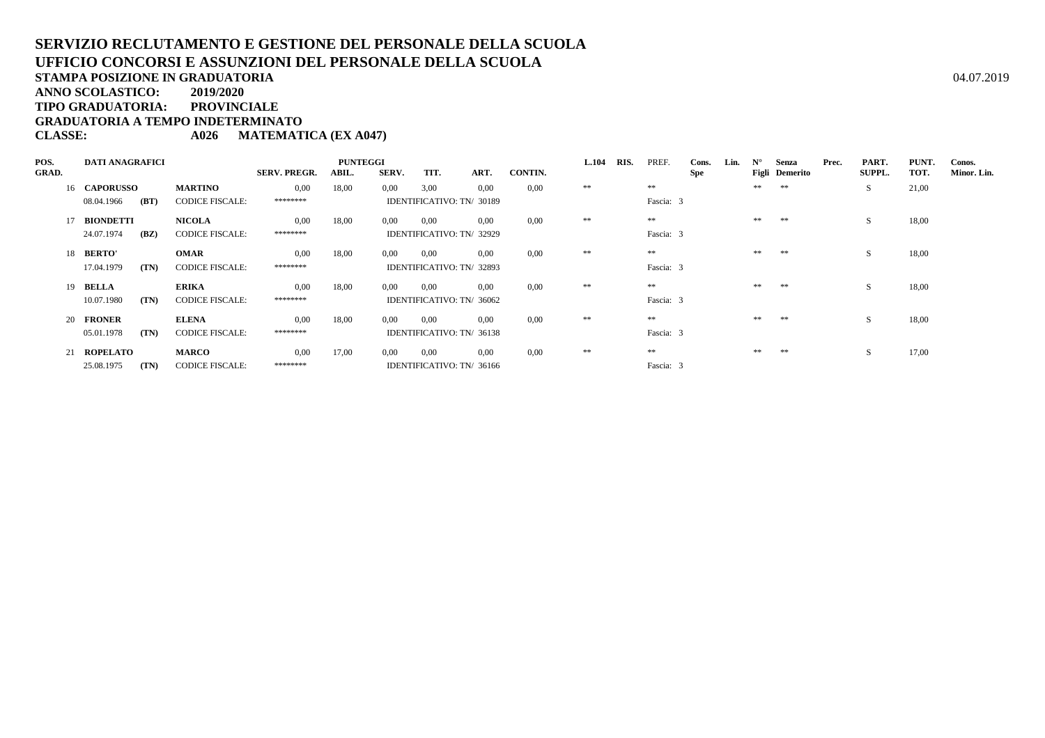**TIPO GRADUATORIA: PROVINCIALE**

**GRADUATORIA A TEMPO INDETERMINATO**

**CLASSE: A026 MATEMATICA (EX A047)**

| POS.         | <b>DATI ANAGRAFICI</b> |      |                        |                     | <b>PUNTEGGI</b> |       |                           | <b>L.104</b> | RIS.    | PREF. | Cons. | Lin.      | $N^{\circ}$ | Senza | Prec. | PART.          | PUNT. | Conos.        |       |             |
|--------------|------------------------|------|------------------------|---------------------|-----------------|-------|---------------------------|--------------|---------|-------|-------|-----------|-------------|-------|-------|----------------|-------|---------------|-------|-------------|
| <b>GRAD.</b> |                        |      |                        | <b>SERV. PREGR.</b> | ABIL.           | SERV. | TIT.                      | ART.         | CONTIN. |       |       |           | <b>Spe</b>  |       |       | Figli Demerito |       | <b>SUPPL.</b> | TOT.  | Minor. Lin. |
|              | 16 CAPORUSSO           |      | <b>MARTINO</b>         | 0,00                | 18,00           | 0,00  | 3,00                      | 0.00         | 0,00    | **    |       | $\pm\pm$  |             |       | **    | **             |       | S.            | 21,00 |             |
|              | 08.04.1966             | (BT) | <b>CODICE FISCALE:</b> | ********            |                 |       | IDENTIFICATIVO: TN/ 30189 |              |         |       |       | Fascia: 3 |             |       |       |                |       |               |       |             |
|              | <b>BIONDETTI</b>       |      | <b>NICOLA</b>          | 0.00                | 18,00           | 0.00  | 0.00                      | 0.00         | 0.00    | **    |       | **        |             |       | **    | **             |       | S.            | 18,00 |             |
|              | 24.07.1974             | (BZ) | <b>CODICE FISCALE:</b> | ********            |                 |       | IDENTIFICATIVO: TN/ 32929 |              |         |       |       | Fascia: 3 |             |       |       |                |       |               |       |             |
|              | 18 BERTO'              |      | <b>OMAR</b>            | 0.00                | 18,00           | 0,00  | 0.00                      | 0.00         | 0.00    | **    |       | **        |             |       | **    | **             |       |               | 18,00 |             |
|              | 17.04.1979             | (TN) | <b>CODICE FISCALE:</b> | ********            |                 |       | IDENTIFICATIVO: TN/ 32893 |              |         |       |       | Fascia: 3 |             |       |       |                |       |               |       |             |
|              | 19 BELLA               |      | <b>ERIKA</b>           | 0.00                | 18,00           | 0,00  | 0.00                      | 0.00         | 0.00    | **    |       | **        |             |       | **    | **             |       | S.            | 18,00 |             |
|              | 10.07.1980             | (TN) | <b>CODICE FISCALE:</b> | ********            |                 |       | IDENTIFICATIVO: TN/ 36062 |              |         |       |       | Fascia: 3 |             |       |       |                |       |               |       |             |
|              | 20 FRONER              |      | <b>ELENA</b>           | 0.00                | 18,00           | 0.00  | 0.00                      | 0.00         | 0.00    | **    |       | **        |             |       | **    | **             |       | S             | 18,00 |             |
|              | 05.01.1978             | (TN) | <b>CODICE FISCALE:</b> | ********            |                 |       | IDENTIFICATIVO: TN/ 36138 |              |         |       |       | Fascia: 3 |             |       |       |                |       |               |       |             |
|              | 21 ROPELATO            |      | <b>MARCO</b>           | 0.00                | 17,00           | 0,00  | 0,00                      | 0.00         | 0.00    | **    |       | **        |             |       | **    | **             |       | S             | 17,00 |             |
|              | 25.08.1975             | (TN) | <b>CODICE FISCALE:</b> | ********            |                 |       | IDENTIFICATIVO: TN/ 36166 |              |         |       |       | Fascia: 3 |             |       |       |                |       |               |       |             |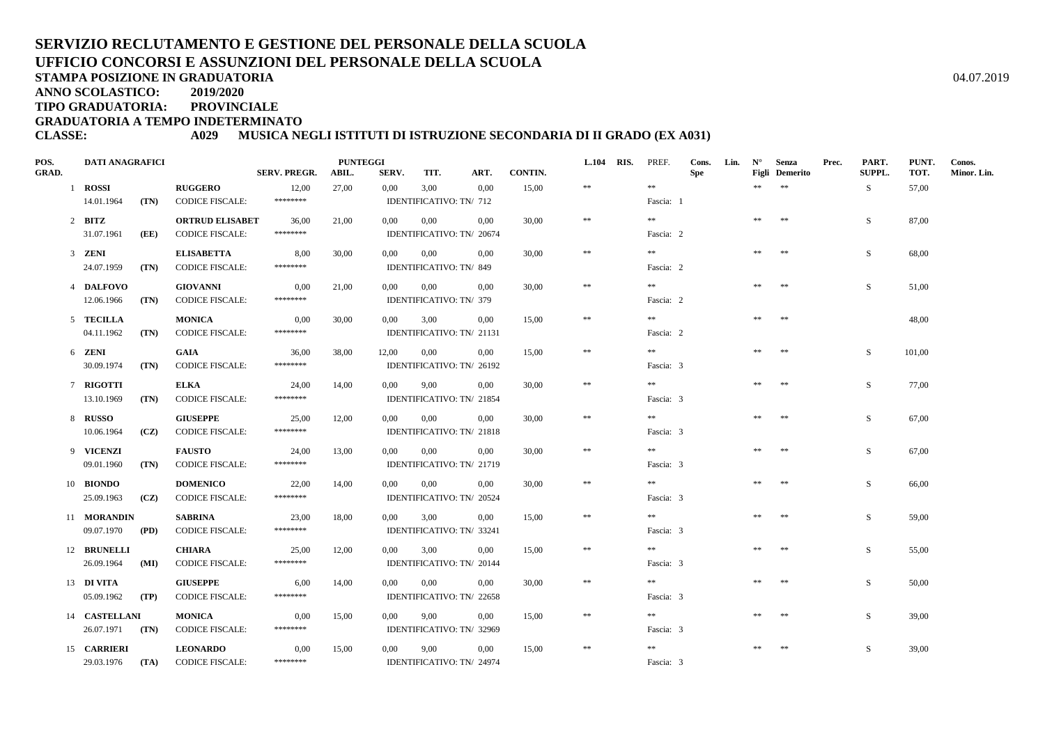**STAMPA POSIZIONE IN GRADUATORIA**

**ANNO SCOLASTICO:2019/2020**

**TIPO GRADUATORIA: PROVINCIALE**

**GRADUATORIA A TEMPO INDETERMINATO**

#### **CLASSE: A029 MUSICA NEGLI ISTITUTI DI ISTRUZIONE SECONDARIA DI II GRADO (EX A031)**

| POS.  | <b>DATI ANAGRAFICI</b> |      |                        |                     | <b>PUNTEGGI</b> |          |                         |                           |         | L.104 RIS. | PREF.     | Cons.      | Lin. | $N^{\circ}$ | Senza                 | Prec. | PART.  | PUNT.  | Conos.      |
|-------|------------------------|------|------------------------|---------------------|-----------------|----------|-------------------------|---------------------------|---------|------------|-----------|------------|------|-------------|-----------------------|-------|--------|--------|-------------|
| GRAD. |                        |      |                        | <b>SERV. PREGR.</b> | ABIL.           | SERV.    | TIT.                    | ART.                      | CONTIN. |            |           | <b>Spe</b> |      |             | <b>Figli</b> Demerito |       | SUPPL. | TOT.   | Minor. Lin. |
|       | 1 ROSSI                |      | <b>RUGGERO</b>         | 12,00               | 27,00           | 0,00     | 3,00                    | 0.00                      | 15,00   | $\pm\pm$   | $\pm\pm$  |            |      | **          | $\pm\pm$              |       | S.     | 57,00  |             |
|       | 14.01.1964             | (TN) | <b>CODICE FISCALE:</b> | ********            |                 |          | IDENTIFICATIVO: TN/ 712 |                           |         |            | Fascia: 1 |            |      |             |                       |       |        |        |             |
|       | $2$ BITZ               |      | <b>ORTRUD ELISABET</b> | 36,00               | 21,00           | $0.00\,$ | 0,00                    | 0,00                      | 30,00   | $\ast\ast$ | **        |            |      | **          | **                    |       | S.     | 87,00  |             |
|       | 31.07.1961             | (EE) | <b>CODICE FISCALE:</b> | ********            |                 |          |                         | IDENTIFICATIVO: TN/ 20674 |         |            | Fascia: 2 |            |      |             |                       |       |        |        |             |
|       | 3 ZENI                 |      | <b>ELISABETTA</b>      | 8,00                | 30,00           | 0.00     | $0.00\,$                | 0,00                      | 30,00   | $\ast\ast$ | $* *$     |            |      | **          | $\pm\pm$              |       | S      | 68,00  |             |
|       | 24.07.1959             | (TN) | <b>CODICE FISCALE:</b> | ********            |                 |          | IDENTIFICATIVO: TN/849  |                           |         |            | Fascia: 2 |            |      |             |                       |       |        |        |             |
|       | 4 DALFOVO              |      | <b>GIOVANNI</b>        | 0,00                | 21,00           | $0.00\,$ | 0,00                    | 0,00                      | 30,00   | $\pm\pm$   | $\gg \gg$ |            |      | **          | $\pm\pm$              |       | S      | 51,00  |             |
|       | 12.06.1966             | (TN) | <b>CODICE FISCALE:</b> | ********            |                 |          | IDENTIFICATIVO: TN/ 379 |                           |         |            | Fascia: 2 |            |      |             |                       |       |        |        |             |
|       | 5 TECILLA              |      | <b>MONICA</b>          | 0,00                | 30,00           | 0,00     | 3,00                    | 0,00                      | 15,00   | $\ast\ast$ | $\pm\pm$  |            |      | $\pm\pm$    | $\pm\pm$              |       |        | 48,00  |             |
|       | 04.11.1962             | (TN) | <b>CODICE FISCALE:</b> | ********            |                 |          |                         | IDENTIFICATIVO: TN/ 21131 |         |            | Fascia: 2 |            |      |             |                       |       |        |        |             |
|       | 6 ZENI                 |      | GAIA                   | 36,00               | 38,00           | 12,00    | 0,00                    | 0,00                      | 15,00   | $\pm\pm$   | $\pm\pm$  |            |      | **          | $\pm\pm$              |       | S      | 101,00 |             |
|       | 30.09.1974             | (TN) | <b>CODICE FISCALE:</b> | ********            |                 |          |                         | IDENTIFICATIVO: TN/ 26192 |         |            | Fascia: 3 |            |      |             |                       |       |        |        |             |
|       | 7 RIGOTTI              |      | <b>ELKA</b>            | 24,00               | 14,00           | 0,00     | 9,00                    | 0.00                      | 30.00   | $\ast\ast$ | $\gg \gg$ |            |      | **          | $\pm\pm$              |       | S.     | 77,00  |             |
|       | 13.10.1969             | (TN) | <b>CODICE FISCALE:</b> | ********            |                 |          |                         | IDENTIFICATIVO: TN/ 21854 |         |            | Fascia: 3 |            |      |             |                       |       |        |        |             |
|       | 8 RUSSO                |      | <b>GIUSEPPE</b>        | 25,00               | 12,00           | $0.00\,$ | $0.00\,$                | 0.00                      | 30.00   | $\ast\ast$ | $* *$     |            |      | **          | $**$                  |       | S      | 67,00  |             |
|       | 10.06.1964             | (CZ) | <b>CODICE FISCALE:</b> | ********            |                 |          |                         | IDENTIFICATIVO: TN/ 21818 |         |            | Fascia: 3 |            |      |             |                       |       |        |        |             |
|       | 9 VICENZI              |      | <b>FAUSTO</b>          | 24,00               | 13.00           | 0.00     | $0.00\,$                | 0.00                      | 30.00   | $\ast$     | $\pm\pm$  |            |      | **          | $\pm\pm$              |       | S      | 67.00  |             |
|       | 09.01.1960             | (TN) | <b>CODICE FISCALE:</b> | ********            |                 |          |                         | IDENTIFICATIVO: TN/ 21719 |         |            | Fascia: 3 |            |      |             |                       |       |        |        |             |
|       | 10 BIONDO              |      | <b>DOMENICO</b>        | 22,00               | 14,00           | $0.00\,$ | 0,00                    | 0.00                      | 30.00   | $\pm\pm$   | $* *$     |            |      | $\pm\pm$    | $\pm\pm$              |       | S      | 66,00  |             |
|       | 25.09.1963             | (CZ) | <b>CODICE FISCALE:</b> | ********            |                 |          |                         | IDENTIFICATIVO: TN/ 20524 |         |            | Fascia: 3 |            |      |             |                       |       |        |        |             |
|       | 11 MORANDIN            |      | <b>SABRINA</b>         | 23,00               | 18,00           | 0,00     | 3,00                    | 0,00                      | 15,00   | $\ast\ast$ | **        |            |      | **          | $\pm\pm$              |       | S      | 59,00  |             |
|       | 09.07.1970             | (PD) | <b>CODICE FISCALE:</b> | ********            |                 |          |                         | IDENTIFICATIVO: TN/ 33241 |         |            | Fascia: 3 |            |      |             |                       |       |        |        |             |
|       | 12 BRUNELLI            |      | <b>CHIARA</b>          | 25,00               | 12,00           | 0,00     | 3,00                    | 0,00                      | 15,00   | $\ast\ast$ | **        |            |      | $\pm\pm$    | $\pm\pm$              |       | S      | 55,00  |             |
|       | 26.09.1964             | (MI) | <b>CODICE FISCALE:</b> | ********            |                 |          |                         | IDENTIFICATIVO: TN/ 20144 |         |            | Fascia: 3 |            |      |             |                       |       |        |        |             |
|       | 13 DI VITA             |      | <b>GIUSEPPE</b>        | 6,00                | 14,00           | $0.00\,$ | $0.00\,$                | $0.00\,$                  | 30,00   | $\ast\ast$ | $\gg \gg$ |            |      | **          | $\pm\pm$              |       | S      | 50,00  |             |
|       | 05.09.1962             | (TP) | <b>CODICE FISCALE:</b> | ********            |                 |          |                         | IDENTIFICATIVO: TN/ 22658 |         |            | Fascia: 3 |            |      |             |                       |       |        |        |             |
|       | 14 CASTELLANI          |      | <b>MONICA</b>          | 0,00                | 15,00           | 0.00     | 9,00                    | 0,00                      | 15.00   | $\pm\pm$   | **        |            |      | **          | $\pm\pm$              |       | S      | 39.00  |             |
|       | 26.07.1971             | (TN) | <b>CODICE FISCALE:</b> | ********            |                 |          |                         | IDENTIFICATIVO: TN/ 32969 |         |            | Fascia: 3 |            |      |             |                       |       |        |        |             |
|       | 15 CARRIERI            |      | <b>LEONARDO</b>        | 0,00                | 15,00           | 0,00     | 9,00                    | $0.00\,$                  | 15,00   | $\ast\ast$ | $\pm\pm$  |            |      | $\pm\pm$    | $**$                  |       | S      | 39,00  |             |
|       | 29.03.1976             | (TA) | <b>CODICE FISCALE:</b> | ********            |                 |          |                         | IDENTIFICATIVO: TN/ 24974 |         |            | Fascia: 3 |            |      |             |                       |       |        |        |             |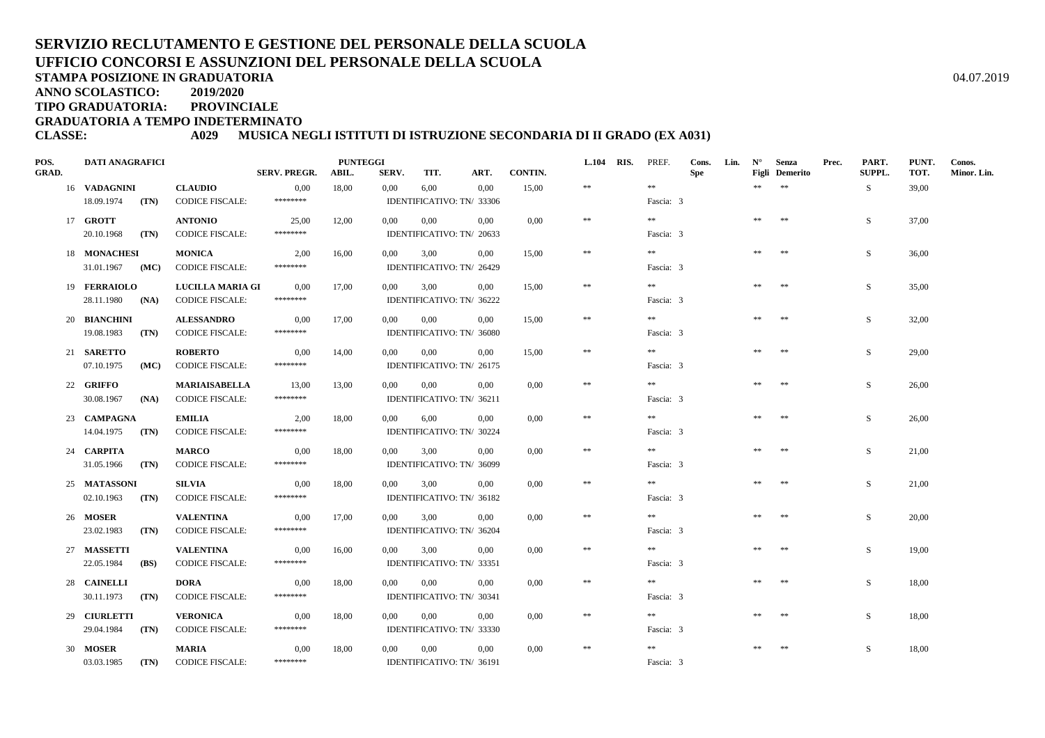**STAMPA POSIZIONE IN GRADUATORIA**

**ANNO SCOLASTICO:2019/2020**

**TIPO GRADUATORIA: PROVINCIALE**

**GRADUATORIA A TEMPO INDETERMINATO**

#### **CLASSE: A029 MUSICA NEGLI ISTITUTI DI ISTRUZIONE SECONDARIA DI II GRADO (EX A031)**

| POS.  | <b>DATI ANAGRAFICI</b>     |      |                                            |                             | <b>PUNTEGGI</b> |               | TIT.                              |                                   | <b>CONTIN.</b> | L.104 RIS. | PREF.                 | Cons.      | Lin. | $\mathbf{N}^{\circ}$ | Senza                             | Prec. | PART.<br>SUPPL. | PUNT.<br>TOT. | Conos.      |
|-------|----------------------------|------|--------------------------------------------|-----------------------------|-----------------|---------------|-----------------------------------|-----------------------------------|----------------|------------|-----------------------|------------|------|----------------------|-----------------------------------|-------|-----------------|---------------|-------------|
| GRAD. | 16 VADAGNINI               |      | <b>CLAUDIO</b>                             | <b>SERV. PREGR.</b><br>0,00 | ABIL.<br>18,00  | SERV.<br>0,00 | 6,00                              | ART.<br>0.00                      | 15,00          | $\pm\pm$   | $\pm\pm$              | <b>Spe</b> |      | **                   | <b>Figli</b> Demerito<br>$\pm\pm$ |       | S               | 39,00         | Minor. Lin. |
|       | 18.09.1974                 | (TN) | <b>CODICE FISCALE:</b>                     | ********                    |                 |               |                                   | IDENTIFICATIVO: TN/ 33306         |                |            | Fascia: 3             |            |      |                      |                                   |       |                 |               |             |
|       | 17 GROTT                   |      | <b>ANTONIO</b>                             | 25,00                       | 12,00           | 0,00          | 0.00                              | 0.00                              | 0,00           | $\ast\ast$ | **                    |            |      | $\pm\pm$             | 米米                                |       | S               | 37,00         |             |
|       | 20.10.1968                 | (TN) | <b>CODICE FISCALE:</b>                     | ********                    |                 |               |                                   | IDENTIFICATIVO: TN/ 20633         |                |            | Fascia: 3             |            |      |                      |                                   |       |                 |               |             |
|       | 18 MONACHESI               |      | <b>MONICA</b>                              | 2,00                        | 16,00           | 0,00          | 3,00                              | 0,00                              | 15,00          | $\ast\ast$ | $\pm\pm$              |            |      | **                   | $\pm\pm$                          |       | S               | 36,00         |             |
|       | 31.01.1967                 | (MC) | <b>CODICE FISCALE:</b>                     | ********                    |                 |               |                                   | IDENTIFICATIVO: TN/ 26429         |                |            | Fascia: 3             |            |      |                      |                                   |       |                 |               |             |
|       | 19 FERRAIOLO               |      | <b>LUCILLA MARIA GI</b>                    | 0,00                        | 17,00           | 0,00          | 3,00                              | $0.00\,$                          | 15,00          | $\pm\pm$   | $\pm\pm$              |            |      | $\pm\pm$             | $\pm\pm$                          |       | S               | 35,00         |             |
|       | 28.11.1980                 | (NA) | <b>CODICE FISCALE:</b>                     | ********                    |                 |               |                                   | IDENTIFICATIVO: TN/ 36222         |                |            | Fascia: 3             |            |      |                      |                                   |       |                 |               |             |
|       | 20 BIANCHINI               |      | <b>ALESSANDRO</b>                          | 0,00                        | 17,00           | $0.00\,$      | 0,00                              | 0.00                              | 15,00          | $\ast$     | $\pm\pm$              |            |      | $\pm\pm$             | $\pm\pm$                          |       | S               | 32,00         |             |
|       | 19.08.1983                 | (TN) | <b>CODICE FISCALE:</b>                     | ********                    |                 |               | IDENTIFICATIVO: TN/ 36080         |                                   |                |            | Fascia: 3             |            |      |                      |                                   |       |                 |               |             |
|       | 21 SARETTO                 |      | <b>ROBERTO</b>                             | 0,00                        | 14,00           | $0.00\,$      | 0,00                              | $0.00\,$                          | 15,00          | $\pm\pm$   | **                    |            |      | **                   | **                                |       | S               | 29,00         |             |
|       | 07.10.1975                 | (MC) | <b>CODICE FISCALE:</b>                     | ********                    |                 |               |                                   | IDENTIFICATIVO: TN/ 26175         |                |            | Fascia: 3             |            |      |                      |                                   |       |                 |               |             |
|       | 22 GRIFFO                  |      | <b>MARIAISABELLA</b>                       | 13,00<br>********           | 13,00           | 0.00          | 0.00                              | 0.00                              | 0.00           | $\ast\ast$ | $\pm\pm$              |            |      | $\pm\pm$             | $\pm\pm$                          |       | S               | 26,00         |             |
|       | 30.08.1967                 | (NA) | <b>CODICE FISCALE:</b>                     |                             |                 |               |                                   | IDENTIFICATIVO: TN/ 36211         |                |            | Fascia: 3             |            |      |                      |                                   |       |                 |               |             |
|       | 23 CAMPAGNA                |      | <b>EMILIA</b>                              | 2.00<br>********            | 18,00           | $0.00\,$      | 6.00                              | 0.00                              | 0.00           | $\ast\ast$ | $\pm\pm$              |            |      | **                   | $\pm\pm$                          |       | S.              | 26,00         |             |
|       | 14.04.1975                 | (TN) | <b>CODICE FISCALE:</b>                     |                             |                 |               |                                   | IDENTIFICATIVO: TN/ 30224         |                |            | Fascia: 3             |            |      |                      |                                   |       |                 |               |             |
|       | 24 CARPITA                 |      | <b>MARCO</b>                               | 0,00<br>********            | 18,00           | $0.00\,$      | 3.00                              | 0.00                              | 0.00           | $\ast$     | $\pm\pm$              |            |      | **                   | **                                |       | S               | 21.00         |             |
|       | 31.05.1966                 | (TN) | <b>CODICE FISCALE:</b>                     |                             |                 |               |                                   | IDENTIFICATIVO: TN/ 36099         |                |            | Fascia: 3             |            |      |                      |                                   |       |                 |               |             |
|       | 25 MATASSONI<br>02.10.1963 |      | <b>SILVIA</b><br><b>CODICE FISCALE:</b>    | 0.00<br>********            | 18,00           | 0,00          | 3,00<br>IDENTIFICATIVO: TN/ 36182 | 0.00                              | 0.00           | $\pm\pm$   | $\pm\pm$<br>Fascia: 3 |            |      | $\pm\pm$             | $\pm\pm$                          |       | S               | 21,00         |             |
|       |                            | (TN) |                                            |                             |                 |               |                                   |                                   |                |            |                       |            |      |                      |                                   |       |                 |               |             |
|       | 26 MOSER<br>23.02.1983     | (TN) | <b>VALENTINA</b><br><b>CODICE FISCALE:</b> | 0,00<br>********            | 17,00           | 0.00          | 3,00<br>IDENTIFICATIVO: TN/ 36204 | 0.00                              | 0,00           | $\pm\pm$   | **<br>Fascia: 3       |            |      | **                   | $\pm\pm$                          |       | S               | 20,00         |             |
|       |                            |      |                                            |                             |                 |               |                                   |                                   |                |            | **                    |            |      |                      |                                   |       |                 |               |             |
|       | 27 MASSETTI<br>22.05.1984  | (BS) | <b>VALENTINA</b><br><b>CODICE FISCALE:</b> | 0,00<br>********            | 16,00           | 0,00          | 3,00<br>IDENTIFICATIVO: TN/ 33351 | 0.00                              | 0,00           | $\ast\ast$ | Fascia: 3             |            |      | $\pm\pm$             | $\pm\pm$                          |       | S               | 19,00         |             |
|       |                            |      |                                            |                             |                 |               |                                   |                                   |                | $\ast\ast$ | $\pm\pm$              |            |      |                      | $\pm\pm$                          |       |                 |               |             |
|       | 28 CAINELLI<br>30.11.1973  | (TN) | <b>DORA</b><br><b>CODICE FISCALE:</b>      | 0,00<br>********            | 18,00           | 0.00          | 0,00<br>IDENTIFICATIVO: TN/ 30341 | 0.00                              | 0,00           |            | Fascia: 3             |            |      |                      |                                   |       | S               | 18,00         |             |
|       |                            |      |                                            |                             |                 |               | 0.00                              |                                   |                | $\pm\pm$   | **                    |            |      | **                   | $\pm\pm$                          |       |                 |               |             |
|       | 29 CIURLETTI<br>29.04.1984 | (TN) | <b>VERONICA</b><br><b>CODICE FISCALE:</b>  | 0,00<br>********            | 18,00           | 0.00          |                                   | 0.00<br>IDENTIFICATIVO: TN/ 33330 | 0.00           |            | Fascia: 3             |            |      |                      |                                   |       | S               | 18,00         |             |
|       | 30 MOSER                   |      | <b>MARIA</b>                               | 0,00                        | 18,00           | 0,00          | 0,00                              | $0.00\,$                          | 0.00           | $\ast\ast$ | $\pm\pm$              |            |      | **                   | $\pm\pm$                          |       | S               | 18,00         |             |
|       | 03.03.1985                 | (TN) | <b>CODICE FISCALE:</b>                     | ********                    |                 |               | IDENTIFICATIVO: TN/ 36191         |                                   |                |            | Fascia: 3             |            |      |                      |                                   |       |                 |               |             |
|       |                            |      |                                            |                             |                 |               |                                   |                                   |                |            |                       |            |      |                      |                                   |       |                 |               |             |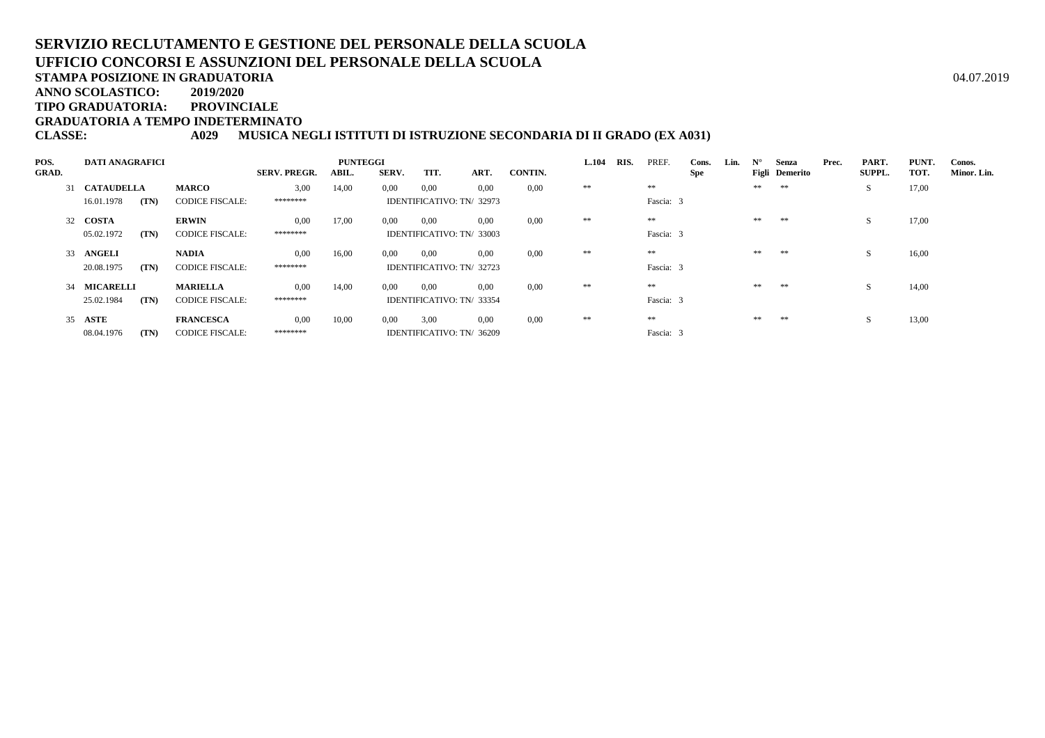**STAMPA POSIZIONE IN GRADUATORIA**

**ANNO SCOLASTICO:2019/2020**

**TIPO GRADUATORIA: PROVINCIALE**

**GRADUATORIA A TEMPO INDETERMINATO**

**CLASSE: A029 MUSICA NEGLI ISTITUTI DI ISTRUZIONE SECONDARIA DI II GRADO (EX A031)**

| POS.         | <b>DATI ANAGRAFICI</b> |      |                        |                     | <b>PUNTEGGI</b> |                |                           | L.104 | RIS.           | PREF. | Cons. | Lin.      | $N^{\circ}$ | Senza | Prec. | PART.          | <b>PUNT</b> | Conos.        |       |             |
|--------------|------------------------|------|------------------------|---------------------|-----------------|----------------|---------------------------|-------|----------------|-------|-------|-----------|-------------|-------|-------|----------------|-------------|---------------|-------|-------------|
| <b>GRAD.</b> |                        |      |                        | <b>SERV. PREGR.</b> | ABIL.           | <b>SERV.</b>   | TIT.                      | ART.  | <b>CONTIN.</b> |       |       |           | Spe         |       |       | Figli Demerito |             | <b>SUPPL.</b> | TOT.  | Minor. Lin. |
|              | 31 CATAUDELLA          |      | <b>MARCO</b>           | 3,00                | 14,00           | $0.00^{\circ}$ | 0,00                      | 0.00  | 0.00           | **    |       | **        |             |       | **    | **             |             | S.            | 17,00 |             |
|              | 16.01.1978             | (TN) | <b>CODICE FISCALE:</b> | *******             |                 |                | IDENTIFICATIVO: TN/32973  |       |                |       |       | Fascia: 3 |             |       |       |                |             |               |       |             |
|              | 32 COSTA               |      | <b>ERWIN</b>           | 0.00                | 17,00           | $0.00\,$       | 0.00                      | 0.00  | 0.00           | **    |       | **        |             |       | **    | **             |             | S.            | 17,00 |             |
|              | 05.02.1972             | (TN) | <b>CODICE FISCALE:</b> | *******             |                 |                | IDENTIFICATIVO: TN/33003  |       |                |       |       | Fascia: 3 |             |       |       |                |             |               |       |             |
|              | 33 ANGELI              |      | <b>NADIA</b>           | 0.00                | 16,00           | 0.00           | 0.00                      | 0.00  | 0.00           | **    |       | **        |             |       | **    | **             |             | <sub>S</sub>  | 16,00 |             |
|              | 20.08.1975             | (TN) | <b>CODICE FISCALE:</b> | *******             |                 |                | IDENTIFICATIVO: TN/32723  |       |                |       |       | Fascia: 3 |             |       |       |                |             |               |       |             |
|              | 34 MICARELLI           |      | <b>MARIELLA</b>        | 0.00                | 14,00           | 0.00           | 0,00                      | 0.00  | 0.00           | **    |       | **        |             |       | **    | **             |             | <sub>S</sub>  | 14,00 |             |
|              | 25.02.1984             | (TN) | <b>CODICE FISCALE:</b> | ********            |                 |                | IDENTIFICATIVO: TN/ 33354 |       |                |       |       | Fascia: 3 |             |       |       |                |             |               |       |             |
|              | 35 ASTE                |      | <b>FRANCESCA</b>       | 0.00                | 10,00           | 0.00           | 3,00                      | 0.00  | 0.00           | **    |       | **        |             |       | **    | **             |             | <sub>S</sub>  | 13,00 |             |
|              | 08.04.1976             | (TN) | <b>CODICE FISCALE:</b> | ********            |                 |                | IDENTIFICATIVO: TN/ 36209 |       |                |       |       | Fascia: 3 |             |       |       |                |             |               |       |             |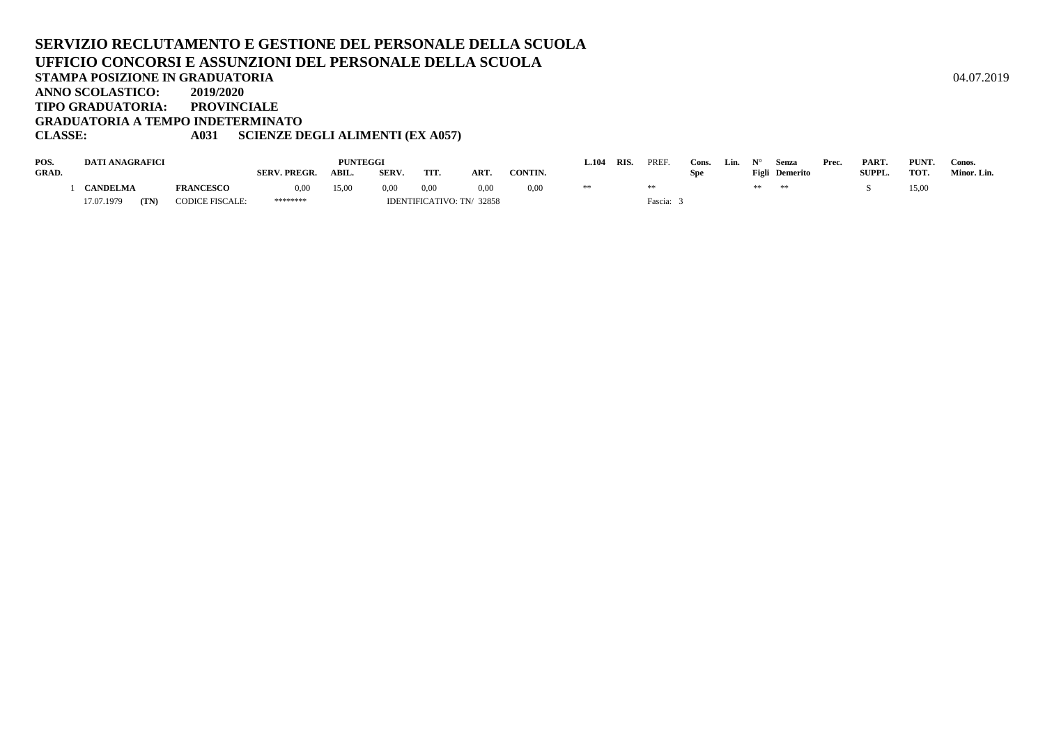#### **SERVIZIO RECLUTAMENTO E GESTIONE DEL PERSONALE DELLA SCUOLAUFFICIO CONCORSI E ASSUNZIONI DEL PERSONALE DELLA SCUOLASTAMPA POSIZIONE IN GRADUATORIA**A  $04.07.2019$ **ANNO SCOLASTICO: 2019/2020 TIPO GRADUATORIA: PROVINCIALE GRADUATORIA A TEMPO INDETERMINATOCLASSE: A031 SCIENZE DEGLI ALIMENTI (EX A057)**

| POS.  | <b>DATI ANAGRAFICI</b> |      |                        |                     | <b>PUNTEGGI</b> |              |      |                           |                | $-.104$ | <b>RIS</b> | PREF    | Cons. | Lin. |    | Senza          | Prec. | PART.         | PUNT. | Conos.      |
|-------|------------------------|------|------------------------|---------------------|-----------------|--------------|------|---------------------------|----------------|---------|------------|---------|-------|------|----|----------------|-------|---------------|-------|-------------|
| GRAD. |                        |      |                        | <b>SERV. PREGR.</b> | ABIL.           | <b>SERV.</b> | TIT. | ART                       | <b>CONTIN.</b> |         |            |         | Spe   |      |    | Figli Demerito |       | <b>SUPPL.</b> | TOT.  | Minor. Lin. |
|       | <b>ANDELMA</b>         |      | <b>FRANCESCO</b>       | 0,00                | 15,00           | 0,00         | 0,00 | 0.00                      | 0,00           |         |            |         |       |      | ** | **             |       |               | 15,00 |             |
|       | 17.07.1979             | (TN) | <b>CODICE FISCALE:</b> | ********            |                 |              |      | IDENTIFICATIVO: TN/ 32858 |                |         |            | Fascia: |       |      |    |                |       |               |       |             |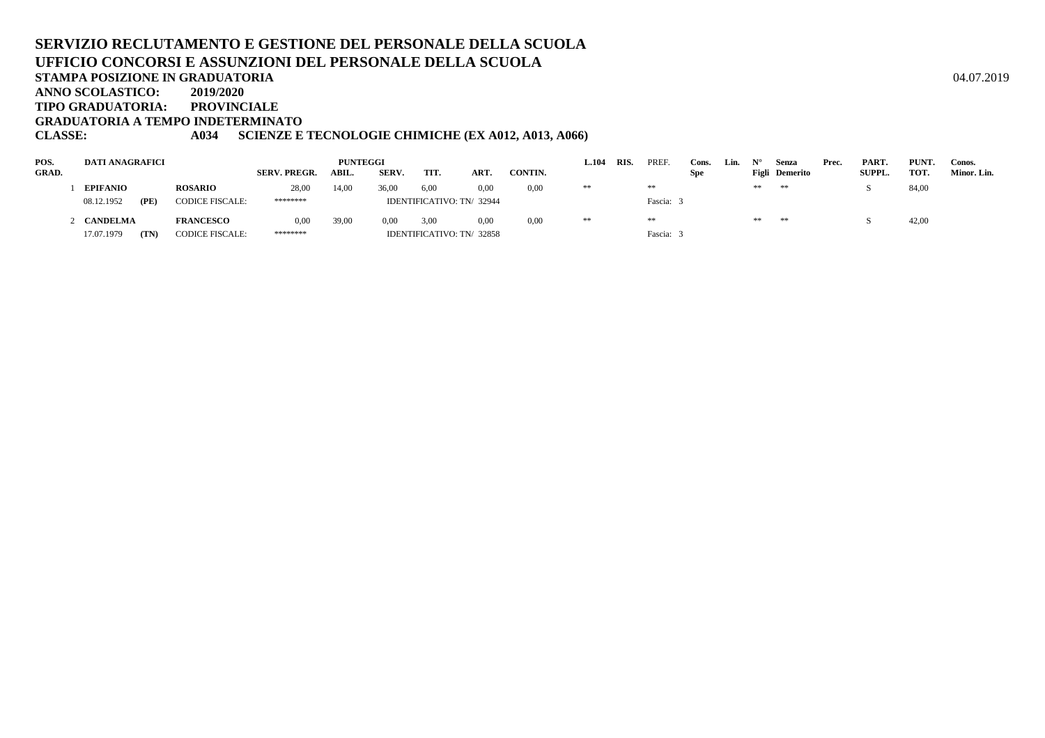**TIPO GRADUATORIA: PROVINCIALE**

**GRADUATORIA A TEMPO INDETERMINATO**

#### **CLASSE: A034 SCIENZE E TECNOLOGIE CHIMICHE (EX A012, A013, A066)**

| POS.         | DATI ANAGRAFICI    |                        |                     | <b>PUNTEGGI</b> |       |      |                           |         | L.104 | RIS. | PREF    | Cons.      | Lin. |    | Senza          | Prec. | PART.         | PUNT. | Conos.      |
|--------------|--------------------|------------------------|---------------------|-----------------|-------|------|---------------------------|---------|-------|------|---------|------------|------|----|----------------|-------|---------------|-------|-------------|
| <b>GRAD.</b> |                    |                        | <b>SERV. PREGR.</b> | ABIL.           | SERV. | TIT. | <b>ART</b>                | CONTIN. |       |      |         | <b>Spe</b> |      |    | Figli Demerito |       | <b>SUPPL.</b> | TOT.  | Minor. Lin. |
|              | <b>EPIFANIO</b>    | <b>ROSARIO</b>         | 28,00               | 14.00           | 36.00 | 6,00 | 0.00                      | 0,00    | **    |      | **      |            |      | ** | **             |       |               | 84,00 |             |
|              | 08.12.1952<br>(PE) | <b>CODICE FISCALE:</b> | ********            |                 |       |      | IDENTIFICATIVO: TN/ 32944 |         |       |      | Fascia: |            |      |    |                |       |               |       |             |
|              | 2 CANDELMA         | <b>FRANCESCO</b>       | 0,00                | 39,00           | 0.00  | 3,00 | 0.00                      | 0.00    | **    |      | **      |            |      | ** | **             |       |               | 42,00 |             |
|              | (TN)<br>17.07.1979 | <b>CODICE FISCALE:</b> | ********            |                 |       |      | IDENTIFICATIVO: TN/32858  |         |       |      | Fascia: |            |      |    |                |       |               |       |             |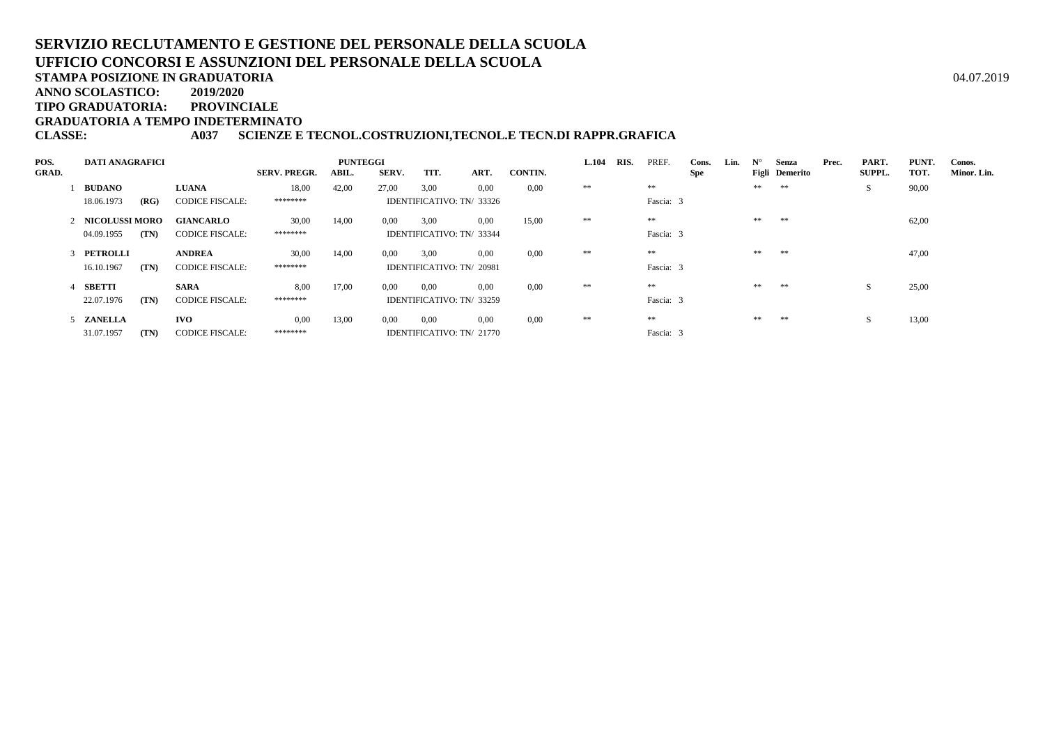**STAMPA POSIZIONE IN GRADUATORIA**

**ANNO SCOLASTICO:2019/2020**

**TIPO GRADUATORIA: PROVINCIALE**

**GRADUATORIA A TEMPO INDETERMINATO**

#### **CLASSE: A037 SCIENZE E TECNOL.COSTRUZIONI,TECNOL.E TECN.DI RAPPR.GRAFICA**

| POS.         | <b>DATI ANAGRAFICI</b> |      |                        |                     | <b>PUNTEGGI</b> |              |                           |      |                | L.104 | RIS. | PREF.     | Cons. | Lin. | $N^{\circ}$ | Senza          | Prec. | PART.         | <b>PUNT</b> | Conos.      |
|--------------|------------------------|------|------------------------|---------------------|-----------------|--------------|---------------------------|------|----------------|-------|------|-----------|-------|------|-------------|----------------|-------|---------------|-------------|-------------|
| <b>GRAD.</b> |                        |      |                        | <b>SERV. PREGR.</b> | ABIL.           | <b>SERV.</b> | TIT.                      | ART. | <b>CONTIN.</b> |       |      |           | Spe   |      |             | Figli Demerito |       | <b>SUPPL.</b> | TOT.        | Minor. Lin. |
|              | <b>BUDANO</b>          |      | <b>LUANA</b>           | 18,00               | 42,00           | 27,00        | 3,00                      | 0.00 | 0.00           | **    |      | **        |       |      | **          | **             |       | S.            | 90,00       |             |
|              | 18.06.1973             | (RG) | <b>CODICE FISCALE:</b> | ********            |                 |              | IDENTIFICATIVO: TN/33326  |      |                |       |      | Fascia: 3 |       |      |             |                |       |               |             |             |
|              | 2 NICOLUSSI MORO       |      | <b>GIANCARLO</b>       | 30,00               | 14,00           | $0.00\,$     | 3.00                      | 0.00 | 15,00          | **    |      | **        |       |      | **          | **             |       |               | 62,00       |             |
|              | 04.09.1955             | (TN) | <b>CODICE FISCALE:</b> | ********            |                 |              | IDENTIFICATIVO: TN/ 33344 |      |                |       |      | Fascia: 3 |       |      |             |                |       |               |             |             |
|              | 3 PETROLLI             |      | <b>ANDREA</b>          | 30,00               | 14,00           | 0.00         | 3.00                      | 0.00 | 0.00           | **    |      | **        |       |      | **          | **             |       |               | 47,00       |             |
|              | 16.10.1967             | (TN) | <b>CODICE FISCALE:</b> | ********            |                 |              | IDENTIFICATIVO: TN/ 20981 |      |                |       |      | Fascia: 3 |       |      |             |                |       |               |             |             |
|              | SBETTI                 |      | <b>SARA</b>            | 8.00                | 17,00           | 0.00         | 0,00                      | 0.00 | 0.00           | **    |      | **        |       |      | **          | **             |       | <sub>S</sub>  | 25,00       |             |
|              | 22.07.1976             | (TN) | <b>CODICE FISCALE:</b> | ********            |                 |              | IDENTIFICATIVO: TN/ 33259 |      |                |       |      | Fascia: 3 |       |      |             |                |       |               |             |             |
|              | 5 ZANELLA              |      | <b>IVO</b>             | 0.00                | 13,00           | 0.00         | 0,00                      | 0.00 | 0.00           | **    |      | **        |       |      | **          | **             |       | <sub>S</sub>  | 13,00       |             |
|              | 31.07.1957             | (TN) | <b>CODICE FISCALE:</b> | ********            |                 |              | IDENTIFICATIVO: TN/ 21770 |      |                |       |      | Fascia: 3 |       |      |             |                |       |               |             |             |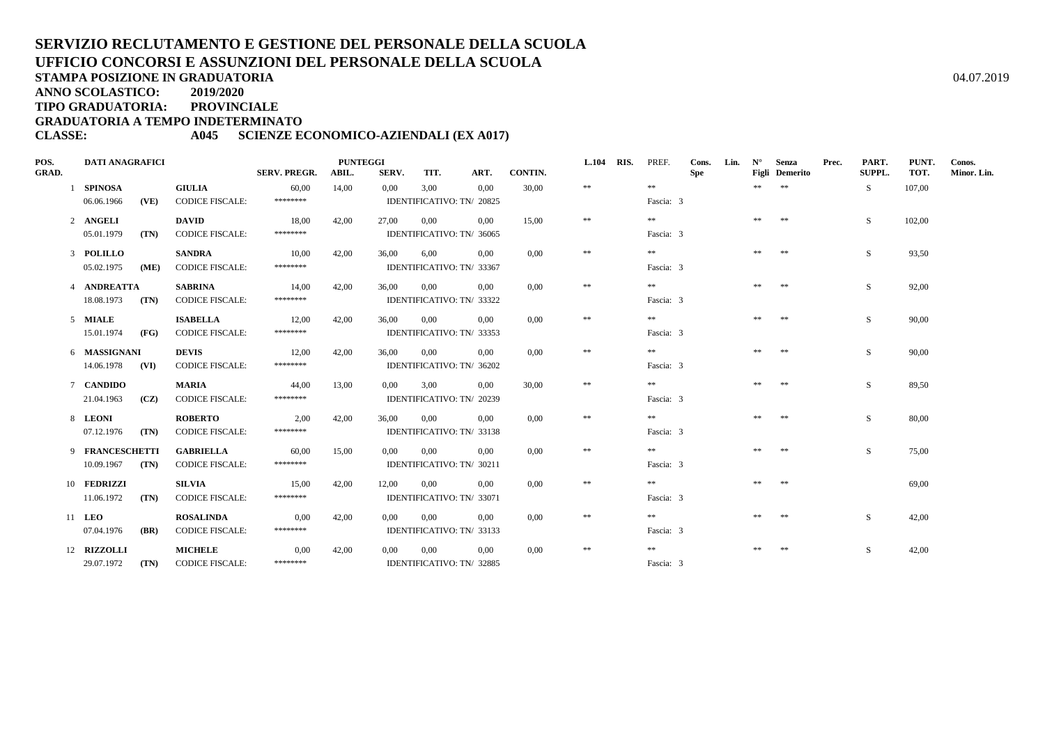**TIPO GRADUATORIA: PROVINCIALE**

**GRADUATORIA A TEMPO INDETERMINATO**

**CLASSE: A045 SCIENZE ECONOMICO-AZIENDALI (EX A017)**

| POS.  | <b>DATI ANAGRAFICI</b> |      |                        |                     | <b>PUNTEGGI</b> |          |                           |          |         | <b>L.104</b> | RIS. | PREF.      | Cons. | Lin. | $N^{\circ}$ | Senza          | Prec. | PART.         | PUNT.  | Conos.      |
|-------|------------------------|------|------------------------|---------------------|-----------------|----------|---------------------------|----------|---------|--------------|------|------------|-------|------|-------------|----------------|-------|---------------|--------|-------------|
| GRAD. |                        |      |                        | <b>SERV. PREGR.</b> | ABIL.           | SERV.    | TIT.                      | ART.     | CONTIN. |              |      |            | Spe   |      |             | Figli Demerito |       | <b>SUPPL.</b> | TOT.   | Minor. Lin. |
|       | 1 SPINOSA              |      | <b>GIULIA</b>          | 60,00               | 14.00           | 0.00     | 3.00                      | 0.00     | 30,00   | $\ast\ast$   |      | **         |       |      | **          | $**$           |       | -S            | 107,00 |             |
|       | 06.06.1966             | (VE) | <b>CODICE FISCALE:</b> | ********            |                 |          | IDENTIFICATIVO: TN/ 20825 |          |         |              |      | Fascia: 3  |       |      |             |                |       |               |        |             |
|       | 2 ANGELI               |      | <b>DAVID</b>           | 18,00               | 42,00           | 27,00    | 0,00                      | 0.00     | 15,00   | $\pm\pm$     |      | $\pm\pm$   |       |      | **          | **             |       | S.            | 102,00 |             |
|       | 05.01.1979             | (TN) | <b>CODICE FISCALE:</b> | ********            |                 |          | IDENTIFICATIVO: TN/ 36065 |          |         |              |      | Fascia: 3  |       |      |             |                |       |               |        |             |
|       | 3 POLILLO              |      | <b>SANDRA</b>          | 10,00               | 42,00           | 36,00    | 6,00                      | $0.00\,$ | 0,00    | $\ast\ast$   |      | **         |       |      | **          | **             |       | S             | 93,50  |             |
|       | 05.02.1975             | (ME) | <b>CODICE FISCALE:</b> | ********            |                 |          | IDENTIFICATIVO: TN/ 33367 |          |         |              |      | Fascia: 3  |       |      |             |                |       |               |        |             |
|       | 4 ANDREATTA            |      | <b>SABRINA</b>         | 14,00               | 42,00           | 36.00    | 0.00                      | 0.00     | 0.00    | $\ast\ast$   |      | $* *$      |       |      | **          | **             |       | S.            | 92,00  |             |
|       | 18.08.1973             | (TN) | <b>CODICE FISCALE:</b> | ********            |                 |          | IDENTIFICATIVO: TN/ 33322 |          |         |              |      | Fascia: 3  |       |      |             |                |       |               |        |             |
|       | 5 MIALE                |      | <b>ISABELLA</b>        | 12,00               | 42,00           | 36,00    | 0,00                      | 0.00     | 0,00    | $\pm\pm$     |      | $* *$      |       |      | **          | **             |       | S             | 90,00  |             |
|       | 15.01.1974             | (FG) | <b>CODICE FISCALE:</b> | ********            |                 |          | IDENTIFICATIVO: TN/ 33353 |          |         |              |      | Fascia: 3  |       |      |             |                |       |               |        |             |
|       | 6 MASSIGNANI           |      | <b>DEVIS</b>           | 12,00               | 42,00           | 36.00    | 0,00                      | $0.00\,$ | 0,00    | $\pm\pm$     |      | $* *$      |       |      | **          | **             |       | S.            | 90,00  |             |
|       | 14.06.1978 (VI)        |      | <b>CODICE FISCALE:</b> | ********            |                 |          | IDENTIFICATIVO: TN/ 36202 |          |         |              |      | Fascia: 3  |       |      |             |                |       |               |        |             |
|       | 7 CANDIDO              |      | <b>MARIA</b>           | 44,00               | 13,00           | $0.00\,$ | 3,00                      | $0.00\,$ | 30,00   | $\ast\ast$   |      | $\pm\pm$   |       |      | **          | **             |       | S             | 89,50  |             |
|       | 21.04.1963             | (CZ) | <b>CODICE FISCALE:</b> | ********            |                 |          | IDENTIFICATIVO: TN/ 20239 |          |         |              |      | Fascia: 3  |       |      |             |                |       |               |        |             |
|       | 8 LEONI                |      | <b>ROBERTO</b>         | 2,00                | 42,00           | 36,00    | $0.00\,$                  | 0.00     | 0,00    | $\ast\ast$   |      | **         |       |      | **          | **             |       | S.            | 80,00  |             |
|       | 07.12.1976             | (TN) | <b>CODICE FISCALE:</b> | ********            |                 |          | IDENTIFICATIVO: TN/ 33138 |          |         |              |      | Fascia: 3  |       |      |             |                |       |               |        |             |
|       | 9 FRANCESCHETTI        |      | <b>GABRIELLA</b>       | 60,00               | 15,00           | $0.00\,$ | 0.00                      | 0.00     | 0,00    | $\pm\pm$     |      | **         |       |      | **          | **             |       | S.            | 75,00  |             |
|       | 10.09.1967             | (TN) | <b>CODICE FISCALE:</b> | ********            |                 |          | IDENTIFICATIVO: TN/ 30211 |          |         |              |      | Fascia: 3  |       |      |             |                |       |               |        |             |
|       | 10 FEDRIZZI            |      | <b>SILVIA</b>          | 15,00               | 42,00           | 12.00    | 0.00                      | 0.00     | 0,00    | $\ast\ast$   |      | $\pm\pm$   |       |      | **          | **             |       |               | 69,00  |             |
|       | 11.06.1972             | (TN) | <b>CODICE FISCALE:</b> | ********            |                 |          | IDENTIFICATIVO: TN/ 33071 |          |         |              |      | Fascia: 3  |       |      |             |                |       |               |        |             |
|       | 11 LEO                 |      | <b>ROSALINDA</b>       | 0,00                | 42,00           | $0.00\,$ | 0.00                      | 0.00     | 0.00    | $\ast\ast$   |      | $* *$      |       |      | **          | **             |       | S.            | 42,00  |             |
|       | 07.04.1976             | (BR) | <b>CODICE FISCALE:</b> | ********            |                 |          | IDENTIFICATIVO: TN/ 33133 |          |         |              |      | Fascia: 3  |       |      |             |                |       |               |        |             |
|       | 12 RIZZOLLI            |      | <b>MICHELE</b>         | 0,00                | 42,00           | 0.00     | 0,00                      | $0.00\,$ | 0,00    | $\ast\ast$   |      | $\ast\ast$ |       |      | **          | **             |       | S.            | 42,00  |             |
|       | 29.07.1972             | (TN) | <b>CODICE FISCALE:</b> | ********            |                 |          | IDENTIFICATIVO: TN/ 32885 |          |         |              |      | Fascia: 3  |       |      |             |                |       |               |        |             |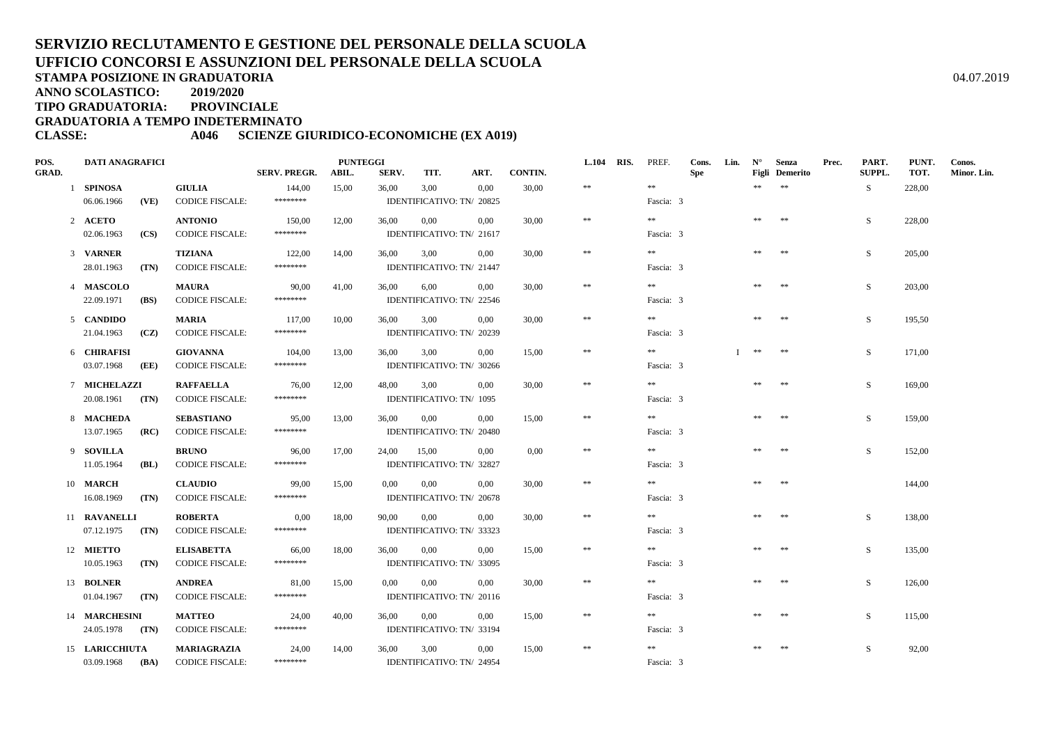**ANNO SCOLASTICO:2019/2020**

**TIPO GRADUATORIA: PROVINCIALE**

**GRADUATORIA A TEMPO INDETERMINATO**

**CLASSE: A046 SCIENZE GIURIDICO-ECONOMICHE (EX A019)**

| POS.         | <b>DATI ANAGRAFICI</b> |      |                        |                     | <b>PUNTEGGI</b> |       |                           |          |                | L.104 RIS. | PREF.     | Cons.      | Lin. | $N^{\circ}$ | Senza          | Prec. | PART.  | PUNT.  | Conos.      |
|--------------|------------------------|------|------------------------|---------------------|-----------------|-------|---------------------------|----------|----------------|------------|-----------|------------|------|-------------|----------------|-------|--------|--------|-------------|
| <b>GRAD.</b> |                        |      |                        | <b>SERV. PREGR.</b> | ABIL.           | SERV. | TIT.                      | ART.     | <b>CONTIN.</b> |            |           | <b>Spe</b> |      |             | Figli Demerito |       | SUPPL. | TOT.   | Minor. Lin. |
|              | 1 SPINOSA              |      | <b>GIULIA</b>          | 144,00              | 15,00           | 36,00 | 3,00                      | 0,00     | 30,00          | $\pm\pm$   | $\pm\pm$  |            |      | **          | $\pm\pm$       |       | S      | 228,00 |             |
|              | 06.06.1966             | (VE) | <b>CODICE FISCALE:</b> | ********            |                 |       | IDENTIFICATIVO: TN/ 20825 |          |                |            | Fascia: 3 |            |      |             |                |       |        |        |             |
|              | 2 ACETO                |      | <b>ANTONIO</b>         | 150,00              | 12,00           | 36,00 | 0,00                      | 0.00     | 30,00          | $\pm\pm$   | $\pm\pm$  |            |      | **          | **             |       | S.     | 228,00 |             |
|              | 02.06.1963             | (CS) | <b>CODICE FISCALE:</b> | ********            |                 |       | IDENTIFICATIVO: TN/ 21617 |          |                |            | Fascia: 3 |            |      |             |                |       |        |        |             |
|              | 3 VARNER               |      | <b>TIZIANA</b>         | 122,00              | 14,00           | 36,00 | 3,00                      | 0,00     | 30,00          | $\ast\ast$ | $* *$     |            |      | **          | **             |       | S      | 205,00 |             |
|              | 28.01.1963             | (TN) | <b>CODICE FISCALE:</b> | ********            |                 |       | IDENTIFICATIVO: TN/ 21447 |          |                |            | Fascia: 3 |            |      |             |                |       |        |        |             |
|              | 4 MASCOLO              |      | <b>MAURA</b>           | 90,00               | 41,00           | 36,00 | 6,00                      | $0.00\,$ | 30.00          | $\ast\ast$ | $* *$     |            |      | **          | **             |       | S.     | 203,00 |             |
|              | 22.09.1971             | (BS) | <b>CODICE FISCALE:</b> | ********            |                 |       | IDENTIFICATIVO: TN/ 22546 |          |                |            | Fascia: 3 |            |      |             |                |       |        |        |             |
|              | 5 CANDIDO              |      | <b>MARIA</b>           | 117.00              | 10.00           | 36,00 | 3,00                      | 0.00     | 30.00          | $\ast\ast$ | $\pm\pm$  |            |      | **          | **             |       | S      | 195.50 |             |
|              | 21.04.1963             | (CZ) | <b>CODICE FISCALE:</b> | ********            |                 |       | IDENTIFICATIVO: TN/ 20239 |          |                |            | Fascia: 3 |            |      |             |                |       |        |        |             |
|              | 6 CHIRAFISI            |      | <b>GIOVANNA</b>        | 104,00              | 13,00           | 36,00 | 3,00                      | 0.00     | 15,00          | $**$       | **        |            |      | $\pm\pm$    | **             |       | S      | 171,00 |             |
|              | 03.07.1968             | (EE) | <b>CODICE FISCALE:</b> | ********            |                 |       | IDENTIFICATIVO: TN/ 30266 |          |                |            | Fascia: 3 |            |      |             |                |       |        |        |             |
|              | 7 MICHELAZZI           |      | <b>RAFFAELLA</b>       | 76,00               | 12,00           | 48,00 | 3,00                      | 0.00     | 30,00          | $\ast\ast$ | $\pm\pm$  |            |      | **          | $\pm\pm$       |       | S.     | 169,00 |             |
|              | 20.08.1961 (TN)        |      | <b>CODICE FISCALE:</b> | ********            |                 |       | IDENTIFICATIVO: TN/ 1095  |          |                |            | Fascia: 3 |            |      |             |                |       |        |        |             |
|              | 8 MACHEDA              |      | <b>SEBASTIANO</b>      | 95,00               | 13,00           | 36,00 | 0,00                      | 0,00     | 15,00          | $\ast\ast$ | $* *$     |            |      | 火火          | **             |       | S      | 159,00 |             |
|              | 13.07.1965             | (RC) | <b>CODICE FISCALE:</b> | ********            |                 |       | IDENTIFICATIVO: TN/ 20480 |          |                |            | Fascia: 3 |            |      |             |                |       |        |        |             |
|              | 9 SOVILLA              |      | <b>BRUNO</b>           | 96,00               | 17,00           | 24,00 | 15,00                     | $0.00\,$ | 0,00           | $\ast\ast$ | $* *$     |            |      | **          | **             |       | S      | 152,00 |             |
|              | 11.05.1964             | (BL) | <b>CODICE FISCALE:</b> | ********            |                 |       | IDENTIFICATIVO: TN/ 32827 |          |                |            | Fascia: 3 |            |      |             |                |       |        |        |             |
|              | 10 MARCH               |      | <b>CLAUDIO</b>         | 99,00               | 15,00           | 0.00  | $0.00\,$                  | 0,00     | 30,00          | $\ast\ast$ | $\pm\pm$  |            |      | **          | $**$           |       |        | 144,00 |             |
|              | 16.08.1969             | (TN) | <b>CODICE FISCALE:</b> | ********            |                 |       | IDENTIFICATIVO: TN/ 20678 |          |                |            | Fascia: 3 |            |      |             |                |       |        |        |             |
|              | 11 RAVANELLI           |      | <b>ROBERTA</b>         | 0,00                | 18,00           | 90,00 | 0,00                      | 0.00     | 30,00          | $\ast\ast$ | $\pm\pm$  |            |      | **          | **             |       | S      | 138,00 |             |
|              | 07.12.1975             | (TN) | <b>CODICE FISCALE:</b> | ********            |                 |       | IDENTIFICATIVO: TN/ 33323 |          |                |            | Fascia: 3 |            |      |             |                |       |        |        |             |
|              | 12 MIETTO              |      | <b>ELISABETTA</b>      | 66,00               | 18,00           | 36,00 | 0,00                      | 0.00     | 15,00          | $\ast\ast$ | $\pm\pm$  |            |      | $\pm \pm$   | $\ast\ast$     |       | S.     | 135,00 |             |
|              | 10.05.1963             | (TN) | <b>CODICE FISCALE:</b> | ********            |                 |       | IDENTIFICATIVO: TN/ 33095 |          |                |            | Fascia: 3 |            |      |             |                |       |        |        |             |
|              | 13 BOLNER              |      | <b>ANDREA</b>          | 81,00               | 15,00           | 0,00  | 0,00                      | $0.00\,$ | 30,00          | $\pm\pm$   | $* *$     |            |      | 米米          | $\pm\pm$       |       | S.     | 126,00 |             |
|              | 01.04.1967             | (TN) | <b>CODICE FISCALE:</b> | ********            |                 |       | IDENTIFICATIVO: TN/ 20116 |          |                |            | Fascia: 3 |            |      |             |                |       |        |        |             |
|              | 14 MARCHESINI          |      | <b>MATTEO</b>          | 24,00               | 40,00           | 36,00 | 0,00                      | $0.00\,$ | 15.00          | $\pm\pm$   | $\pm\pm$  |            |      | **          | 米米             |       | S.     | 115,00 |             |
|              | 24.05.1978 (TN)        |      | <b>CODICE FISCALE:</b> | ********            |                 |       | IDENTIFICATIVO: TN/ 33194 |          |                |            | Fascia: 3 |            |      |             |                |       |        |        |             |
|              | 15 LARICCHIUTA         |      | MARIAGRAZIA            | 24,00               | 14,00           | 36,00 | 3,00                      | $0.00\,$ | 15,00          | $\ast\ast$ | $**$      |            |      | **          | $**$           |       | S      | 92,00  |             |
|              | $03.09.1968$ (BA)      |      | <b>CODICE FISCALE:</b> | ********            |                 |       | IDENTIFICATIVO: TN/24954  |          |                |            | Fascia: 3 |            |      |             |                |       |        |        |             |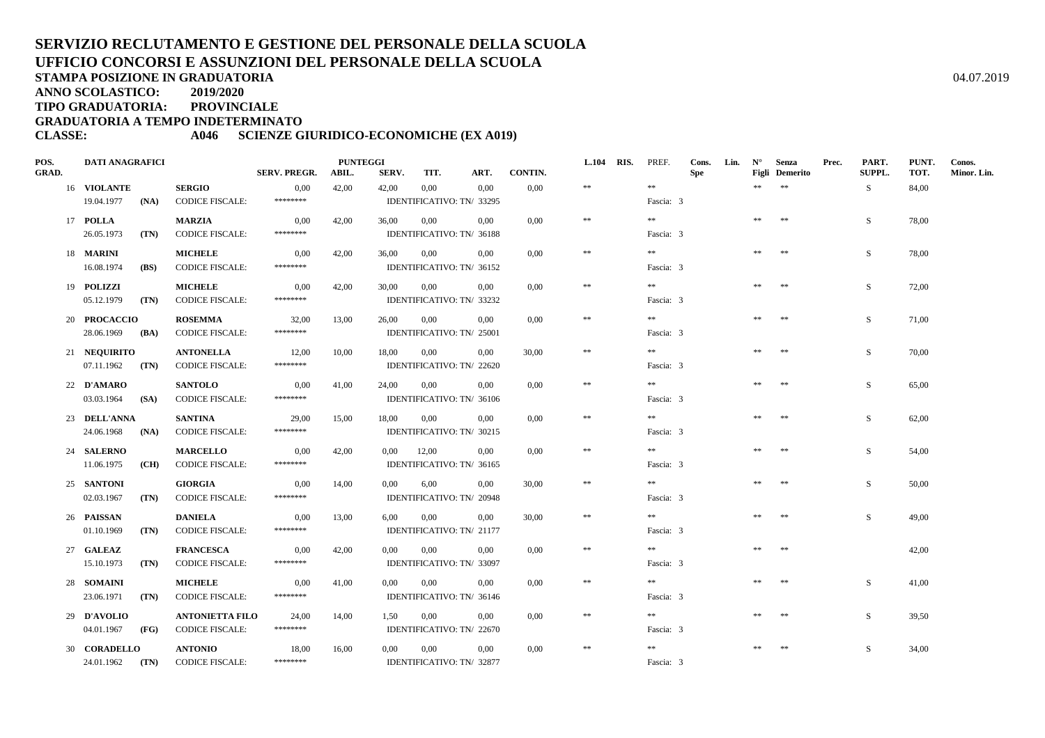**ANNO SCOLASTICO:2019/2020**

**TIPO GRADUATORIA: PROVINCIALE**

**GRADUATORIA A TEMPO INDETERMINATO**

**CLASSE: A046 SCIENZE GIURIDICO-ECONOMICHE (EX A019)**

| POS.         | <b>DATI ANAGRAFICI</b> |      |                        |                     | <b>PUNTEGGI</b> |                |                           |          |         | L.104 RIS. | PREF.     | Cons.      | Lin. | $N^{\circ}$ | Senza          | Prec. | PART.  | PUNT. | Conos.      |
|--------------|------------------------|------|------------------------|---------------------|-----------------|----------------|---------------------------|----------|---------|------------|-----------|------------|------|-------------|----------------|-------|--------|-------|-------------|
| <b>GRAD.</b> |                        |      |                        | <b>SERV. PREGR.</b> | ABIL.           | SERV.          | TIT.                      | ART.     | CONTIN. |            |           | <b>Spe</b> |      |             | Figli Demerito |       | SUPPL. | TOT.  | Minor. Lin. |
|              | 16 VIOLANTE            |      | <b>SERGIO</b>          | 0,00                | 42,00           | 42,00          | 0,00                      | 0,00     | 0,00    | $\pm\pm$   | $\pm\pm$  |            |      | $*$         | $\pm\pm$       |       | S      | 84,00 |             |
|              | 19.04.1977             | (NA) | <b>CODICE FISCALE:</b> | ********            |                 |                | IDENTIFICATIVO: TN/ 33295 |          |         |            | Fascia: 3 |            |      |             |                |       |        |       |             |
|              | 17 POLLA               |      | <b>MARZIA</b>          | 0,00                | 42,00           | 36,00          | 0.00                      | 0.00     | 0.00    | $\pm\pm$   | **        |            |      | **          | 米米             |       | S.     | 78,00 |             |
|              | 26.05.1973             | (TN) | <b>CODICE FISCALE:</b> | ********            |                 |                | IDENTIFICATIVO: TN/ 36188 |          |         |            | Fascia: 3 |            |      |             |                |       |        |       |             |
|              | 18 <b>MARINI</b>       |      | <b>MICHELE</b>         | 0,00                | 42,00           | 36,00          | 0,00                      | 0.00     | 0,00    | $\pm\pm$   | $* *$     |            |      | **          | **             |       | S      | 78,00 |             |
|              | 16.08.1974             | (BS) | <b>CODICE FISCALE:</b> | ********            |                 |                | IDENTIFICATIVO: TN/ 36152 |          |         |            | Fascia: 3 |            |      |             |                |       |        |       |             |
|              | 19 POLIZZI             |      | <b>MICHELE</b>         | 0,00                | 42,00           | 30,00          | 0,00                      | $0.00\,$ | 0,00    | $\ast\ast$ | $\pm\pm$  |            |      | $\pm\pm$    | **             |       | S      | 72,00 |             |
|              | 05.12.1979             | (TN) | <b>CODICE FISCALE:</b> | ********            |                 |                | IDENTIFICATIVO: TN/ 33232 |          |         |            | Fascia: 3 |            |      |             |                |       |        |       |             |
|              | 20 PROCACCIO           |      | <b>ROSEMMA</b>         | 32,00               | 13,00           | 26,00          | 0,00                      | $0.00\,$ | 0,00    | $\pm\pm$   | $\pm\pm$  |            |      | **          | **             |       | S      | 71,00 |             |
|              | 28.06.1969             | (BA) | <b>CODICE FISCALE:</b> | ********            |                 |                | IDENTIFICATIVO: TN/ 25001 |          |         |            | Fascia: 3 |            |      |             |                |       |        |       |             |
|              | 21 NEQUIRITO           |      | <b>ANTONELLA</b>       | 12,00               | 10,00           | 18,00          | $0.00\,$                  | $0.00\,$ | 30,00   | $\pm\pm$   | $\pm\pm$  |            |      | **          | $\pm\pm$       |       | S      | 70,00 |             |
|              | $07.11.1962$ (TN)      |      | <b>CODICE FISCALE:</b> | ********            |                 |                | IDENTIFICATIVO: TN/ 22620 |          |         |            | Fascia: 3 |            |      |             |                |       |        |       |             |
|              | 22 D'AMARO             |      | <b>SANTOLO</b>         | 0,00                | 41,00           | 24,00          | 0,00                      | $0.00\,$ | 0,00    | $\pm\pm$   | $\pm\pm$  |            |      | $\pm\pm$    | $\pm\pm$       |       | S.     | 65,00 |             |
|              | 03.03.1964             | (SA) | <b>CODICE FISCALE:</b> | ********            |                 |                | IDENTIFICATIVO: TN/ 36106 |          |         |            | Fascia: 3 |            |      |             |                |       |        |       |             |
|              | 23 DELL'ANNA           |      | <b>SANTINA</b>         | 29,00               | 15,00           | 18,00          | $0.00\,$                  | $0.00\,$ | 0.00    | $\ast\ast$ | $* *$     |            |      | **          | $**$           |       | S.     | 62,00 |             |
|              | 24.06.1968             | (NA) | <b>CODICE FISCALE:</b> | ********            |                 |                | IDENTIFICATIVO: TN/ 30215 |          |         |            | Fascia: 3 |            |      |             |                |       |        |       |             |
|              | 24 SALERNO             |      | <b>MARCELLO</b>        | 0,00                | 42,00           | $0.00\,$       | 12,00                     | $0.00\,$ | 0.00    | $\ast\ast$ | $* *$     |            |      | **          | **             |       | S.     | 54,00 |             |
|              | 11.06.1975             | (CH) | <b>CODICE FISCALE:</b> | ********            |                 |                | IDENTIFICATIVO: TN/ 36165 |          |         |            | Fascia: 3 |            |      |             |                |       |        |       |             |
|              | 25 SANTONI             |      | <b>GIORGIA</b>         | 0.00                | 14,00           | 0,00           | 6,00                      | 0.00     | 30,00   | $\ast\ast$ | $\pm\pm$  |            |      | $\pm \pm$   | $\ast\ast$     |       | S.     | 50,00 |             |
|              | 02.03.1967             | (TN) | <b>CODICE FISCALE:</b> | ********            |                 |                | IDENTIFICATIVO: TN/ 20948 |          |         |            | Fascia: 3 |            |      |             |                |       |        |       |             |
|              | 26 PAISSAN             |      | <b>DANIELA</b>         | 0,00                | 13,00           | 6,00           | 0,00                      | 0,00     | 30,00   | $\pm\pm$   | $\gg \gg$ |            |      | **          | **             |       | S.     | 49.00 |             |
|              | 01.10.1969             | (TN) | <b>CODICE FISCALE:</b> | ********            |                 |                | IDENTIFICATIVO: TN/ 21177 |          |         |            | Fascia: 3 |            |      |             |                |       |        |       |             |
|              | 27 GALEAZ              |      | <b>FRANCESCA</b>       | 0,00                | 42,00           | 0,00           | 0.00                      | 0.00     | 0,00    | $\pm\pm$   | $\pm\pm$  |            |      | $\pm \pm$   | $**$           |       |        | 42,00 |             |
|              | 15.10.1973             | (TN) | <b>CODICE FISCALE:</b> | ********            |                 |                | IDENTIFICATIVO: TN/ 33097 |          |         |            | Fascia: 3 |            |      |             |                |       |        |       |             |
|              | 28 SOMAINI             |      | <b>MICHELE</b>         | 0,00                | 41,00           | 0,00           | 0,00                      | $0.00\,$ | 0,00    | $\ast\ast$ | $* *$     |            |      | 米米          | **             |       | S.     | 41,00 |             |
|              | 23.06.1971             | (TN) | <b>CODICE FISCALE:</b> | ********            |                 |                | IDENTIFICATIVO: TN/ 36146 |          |         |            | Fascia: 3 |            |      |             |                |       |        |       |             |
|              | 29 D'AVOLIO            |      | <b>ANTONIETTA FILO</b> | 24,00               | 14,00           | $1,50 \t 0,00$ |                           | $0.00\,$ | 0.00    | $\ast\ast$ | $* *$     |            |      | **          | **             |       | S.     | 39,50 |             |
|              | 04.01.1967             | (FG) | <b>CODICE FISCALE:</b> | ********            |                 |                | IDENTIFICATIVO: TN/ 22670 |          |         |            | Fascia: 3 |            |      |             |                |       |        |       |             |
|              | 30 CORADELLO           |      | <b>ANTONIO</b>         | 18,00               | 16,00           | $0.00\,$       | $0.00\,$                  | $0.00\,$ | 0,00    | $\pm\pm$   | $\pm\pm$  |            |      | **          | $\pm\pm$       |       | S      | 34,00 |             |
|              | 24.01.1962 (TN)        |      | <b>CODICE FISCALE:</b> | ********            |                 |                | IDENTIFICATIVO: TN/ 32877 |          |         |            | Fascia: 3 |            |      |             |                |       |        |       |             |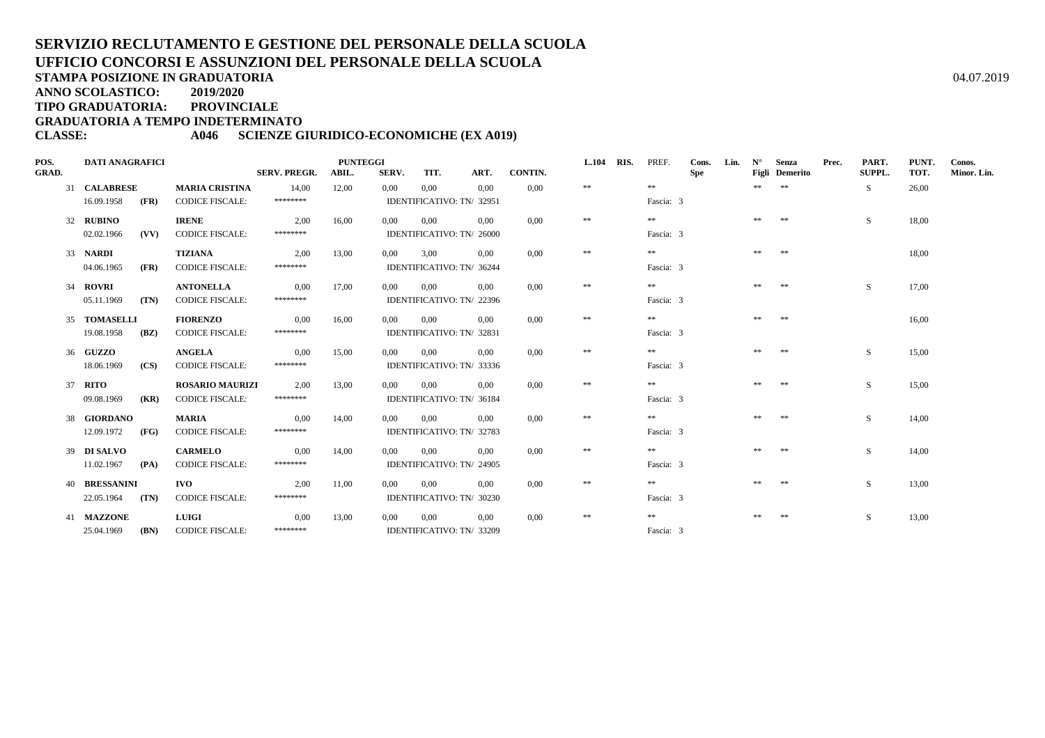**ANNO SCOLASTICO:2019/2020**

**TIPO GRADUATORIA: PROVINCIALE**

**GRADUATORIA A TEMPO INDETERMINATO**

**CLASSE: A046 SCIENZE GIURIDICO-ECONOMICHE (EX A019)**

| POS.         | <b>DATI ANAGRAFICI</b> |      |                        |                     | <b>PUNTEGGI</b> |          |                           |          |         | <b>L.104</b> | RIS. | PREF.     | Cons.      | Lin. | $N^{\circ}$ | Senza          | Prec. | PART.         | PUNT. | Conos.      |
|--------------|------------------------|------|------------------------|---------------------|-----------------|----------|---------------------------|----------|---------|--------------|------|-----------|------------|------|-------------|----------------|-------|---------------|-------|-------------|
| <b>GRAD.</b> |                        |      |                        | <b>SERV. PREGR.</b> | ABIL.           | SERV.    | TIT.                      | ART.     | CONTIN. |              |      |           | <b>Spe</b> |      |             | Figli Demerito |       | <b>SUPPL.</b> | TOT.  | Minor. Lin. |
|              | 31 CALABRESE           |      | <b>MARIA CRISTINA</b>  | 14.00               | 12,00           | 0,00     | 0,00                      | 0.00     | 0.00    | $\pm\pm$     |      | $\pm\pm$  |            |      | **          | $**$           |       | -S            | 26,00 |             |
|              | 16.09.1958             | (FR) | <b>CODICE FISCALE:</b> | ********            |                 |          | IDENTIFICATIVO: TN/ 32951 |          |         |              |      | Fascia: 3 |            |      |             |                |       |               |       |             |
|              | 32 RUBINO              |      | <b>IRENE</b>           | 2,00                | 16,00           | 0.00     | 0,00                      | 0.00     | 0.00    | **           |      | **        |            |      |             | **             |       | S.            | 18,00 |             |
|              | 02.02.1966             | (VV) | <b>CODICE FISCALE:</b> | ********            |                 |          | IDENTIFICATIVO: TN/ 26000 |          |         |              |      | Fascia: 3 |            |      |             |                |       |               |       |             |
|              | 33 NARDI               |      | <b>TIZIANA</b>         | 2.00                | 13,00           | $0.00\,$ | 3.00                      | 0.00     | 0.00    | $\pm\pm$     |      | **        |            |      | **          | 米米             |       |               | 18.00 |             |
|              | 04.06.1965             | (FR) | <b>CODICE FISCALE:</b> | ********            |                 |          | IDENTIFICATIVO: TN/ 36244 |          |         |              |      | Fascia: 3 |            |      |             |                |       |               |       |             |
|              | 34 ROVRI               |      | <b>ANTONELLA</b>       | 0,00                | 17,00           | $0.00\,$ | 0,00                      | $0.00\,$ | 0.00    | $\pm\pm$     |      | **        |            |      | **          | **             |       | S             | 17,00 |             |
|              | 05.11.1969             | (TN) | <b>CODICE FISCALE:</b> | ********            |                 |          | IDENTIFICATIVO: TN/ 22396 |          |         |              |      | Fascia: 3 |            |      |             |                |       |               |       |             |
|              | 35 TOMASELLI           |      | <b>FIORENZO</b>        | 0,00                | 16,00           | 0.00     | $0.00\,$                  | 0.00     | 0,00    | $\pm\pm$     |      | **        |            |      | **          | **             |       |               | 16,00 |             |
|              | 19.08.1958             | (BZ) | <b>CODICE FISCALE:</b> | ********            |                 |          | IDENTIFICATIVO: TN/ 32831 |          |         |              |      | Fascia: 3 |            |      |             |                |       |               |       |             |
|              | 36 GUZZO               |      | <b>ANGELA</b>          | 0.00                | 15,00           | 0.00     | 0,00                      | 0.00     | 0.00    | $\pm\pm$     |      | **        |            |      |             | **             |       | S.            | 15,00 |             |
|              | 18.06.1969             | (CS) | <b>CODICE FISCALE:</b> | ********            |                 |          | IDENTIFICATIVO: TN/ 33336 |          |         |              |      | Fascia: 3 |            |      |             |                |       |               |       |             |
| 37           | RITO                   |      | <b>ROSARIO MAURIZI</b> | 2,00                | 13,00           | 0.00     | 0,00                      | 0.00     | 0.00    | $\pm\pm$     |      | $**$      |            |      | **          | **             |       | S             | 15,00 |             |
|              | 09.08.1969             | (KR) | <b>CODICE FISCALE:</b> | ********            |                 |          | IDENTIFICATIVO: TN/ 36184 |          |         |              |      | Fascia: 3 |            |      |             |                |       |               |       |             |
|              | 38 GIORDANO            |      | <b>MARIA</b>           | 0,00                | 14,00           | 0.00     | 0.00                      | 0.00     | 0.00    | $\pm\pm$     |      | **        |            |      | **          | **             |       | S             | 14,00 |             |
|              | 12.09.1972             | (FG) | <b>CODICE FISCALE:</b> | ********            |                 |          | IDENTIFICATIVO: TN/ 32783 |          |         |              |      | Fascia: 3 |            |      |             |                |       |               |       |             |
|              | 39 DI SALVO            |      | <b>CARMELO</b>         | 0,00                | 14,00           | 0,00     | 0,00                      | 0.00     | 0.00    | $\pm\pm$     |      | **        |            |      | **          | **             |       | S             | 14,00 |             |
|              | 11.02.1967             | (PA) | <b>CODICE FISCALE:</b> | ********            |                 |          | IDENTIFICATIVO: TN/ 24905 |          |         |              |      | Fascia: 3 |            |      |             |                |       |               |       |             |
|              | <b>40 BRESSANINI</b>   |      | <b>IVO</b>             | 2,00                | 11,00           | 0.00     | 0,00                      | 0.00     | 0.00    | $\pm\pm$     |      | **        |            |      |             |                |       | S             | 13,00 |             |
|              | 22.05.1964             | (TN) | <b>CODICE FISCALE:</b> | ********            |                 |          | IDENTIFICATIVO: TN/ 30230 |          |         |              |      | Fascia: 3 |            |      |             |                |       |               |       |             |
|              | 41 MAZZONE             |      | LUIGI                  | 0,00                | 13,00           | 0,00     | 0,00                      | 0.00     | 0,00    | $\pm\pm$     |      | **        |            |      | **          | $\pm\pm$       |       | S             | 13,00 |             |
|              | 25.04.1969             | (BN) | <b>CODICE FISCALE:</b> | ********            |                 |          | IDENTIFICATIVO: TN/ 33209 |          |         |              |      | Fascia: 3 |            |      |             |                |       |               |       |             |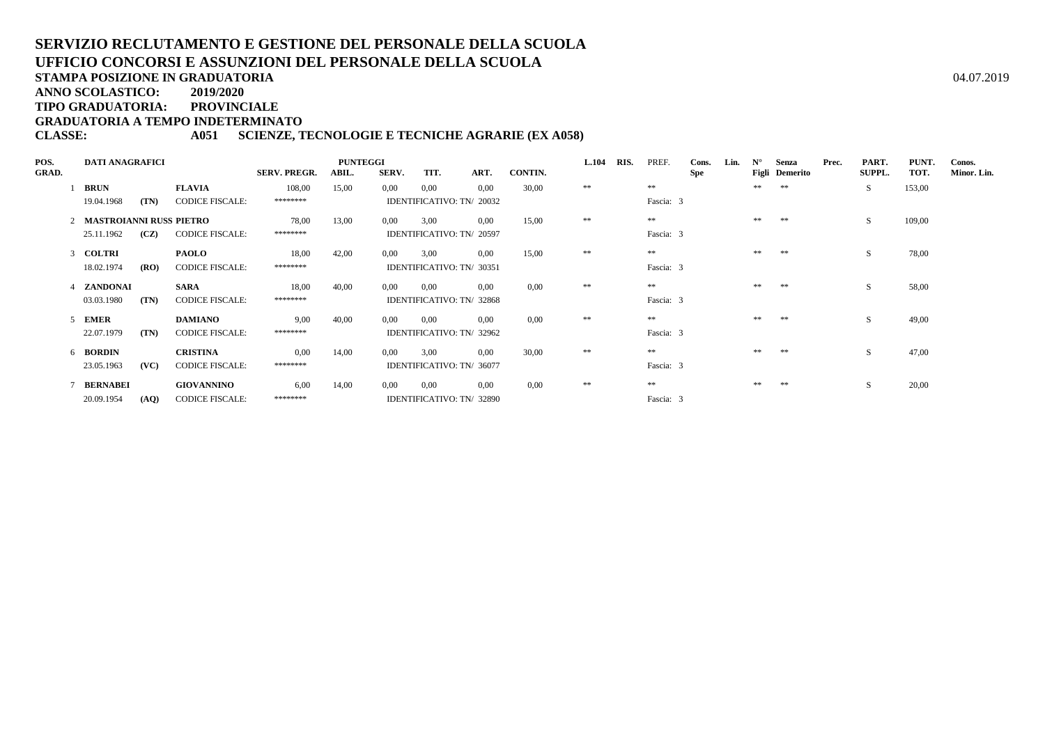**STAMPA POSIZIONE IN GRADUATORIA**

**ANNO SCOLASTICO:2019/2020**

**TIPO GRADUATORIA: PROVINCIALE**

**GRADUATORIA A TEMPO INDETERMINATO**

#### **CLASSE: A051 SCIENZE, TECNOLOGIE E TECNICHE AGRARIE (EX A058)**

| POS.         | <b>DATI ANAGRAFICI</b>    |                        |                     | <b>PUNTEGGI</b> |       |                           |      | <b>L.104</b> | RIS.     | PREF. | Cons.      | Lin.       | $N^{\circ}$ | Senza | Prec.          | PART. | PUNT.  | Conos. |             |
|--------------|---------------------------|------------------------|---------------------|-----------------|-------|---------------------------|------|--------------|----------|-------|------------|------------|-------------|-------|----------------|-------|--------|--------|-------------|
| <b>GRAD.</b> |                           |                        | <b>SERV. PREGR.</b> | ABIL.           | SERV. | TIT.                      | ART. | CONTIN.      |          |       |            | <b>Spe</b> |             |       | Figli Demerito |       | SUPPL. | TOT.   | Minor. Lin. |
|              | <b>BRUN</b>               | <b>FLAVIA</b>          | 108,00              | 15,00           | 0,00  | 0,00                      | 0.00 | 30,00        | $\pm\pm$ |       | **         |            |             | **    | **             |       | S.     | 153,00 |             |
|              | (TN)<br>19.04.1968        | <b>CODICE FISCALE:</b> | ********            |                 |       | IDENTIFICATIVO: TN/ 20032 |      |              |          |       | Fascia: 3  |            |             |       |                |       |        |        |             |
|              | 2 MASTROIANNI RUSS PIETRO |                        | 78,00               | 13,00           | 0.00  | 3.00                      | 0.00 | 15,00        | **       |       | **         |            |             | **    | **             |       | S.     | 109,00 |             |
|              | 25.11.1962<br>(CZ)        | <b>CODICE FISCALE:</b> | ********            |                 |       | IDENTIFICATIVO: TN/ 20597 |      |              |          |       | Fascia: 3  |            |             |       |                |       |        |        |             |
|              | 3 COLTRI                  | <b>PAOLO</b>           | 18,00               | 42,00           | 0,00  | 3,00                      | 0.00 | 15,00        | **       |       | $\ast\ast$ |            |             | **    | **             |       | S.     | 78,00  |             |
|              | 18.02.1974<br>(RO)        | <b>CODICE FISCALE:</b> | ********            |                 |       | IDENTIFICATIVO: TN/ 30351 |      |              |          |       | Fascia: 3  |            |             |       |                |       |        |        |             |
|              | 4 ZANDONAI                | <b>SARA</b>            | 18,00               | 40,00           | 0,00  | 0.00                      | 0.00 | 0.00         | **       |       | $\ast\ast$ |            |             | **    | **             |       | S.     | 58,00  |             |
|              | 03.03.1980<br>(TN)        | <b>CODICE FISCALE:</b> | ********            |                 |       | IDENTIFICATIVO: TN/ 32868 |      |              |          |       | Fascia: 3  |            |             |       |                |       |        |        |             |
|              | 5 EMER                    | <b>DAMIANO</b>         | 9.00                | 40,00           | 0.00  | 0.00                      | 0.00 | 0.00         | **       |       | **         |            |             | **    | **             |       | S.     | 49,00  |             |
|              | 22.07.1979<br>(TN)        | <b>CODICE FISCALE:</b> | ********            |                 |       | IDENTIFICATIVO: TN/ 32962 |      |              |          |       | Fascia: 3  |            |             |       |                |       |        |        |             |
|              | 6 BORDIN                  | <b>CRISTINA</b>        | 0.00                | 14,00           | 0.00  | 3.00                      | 0.00 | 30,00        | **       |       | **         |            |             | **    | **             |       | S      | 47,00  |             |
|              | (VC)<br>23.05.1963        | <b>CODICE FISCALE:</b> | ********            |                 |       | IDENTIFICATIVO: TN/ 36077 |      |              |          |       | Fascia: 3  |            |             |       |                |       |        |        |             |
|              | 7 BERNABEI                | <b>GIOVANNINO</b>      | 6.00                | 14,00           | 0,00  | 0.00                      | 0.00 | 0.00         | **       |       | **         |            |             |       | **             |       | S      | 20,00  |             |
|              | 20.09.1954<br>(AQ)        | <b>CODICE FISCALE:</b> | ********            |                 |       | IDENTIFICATIVO: TN/ 32890 |      |              |          |       | Fascia: 3  |            |             |       |                |       |        |        |             |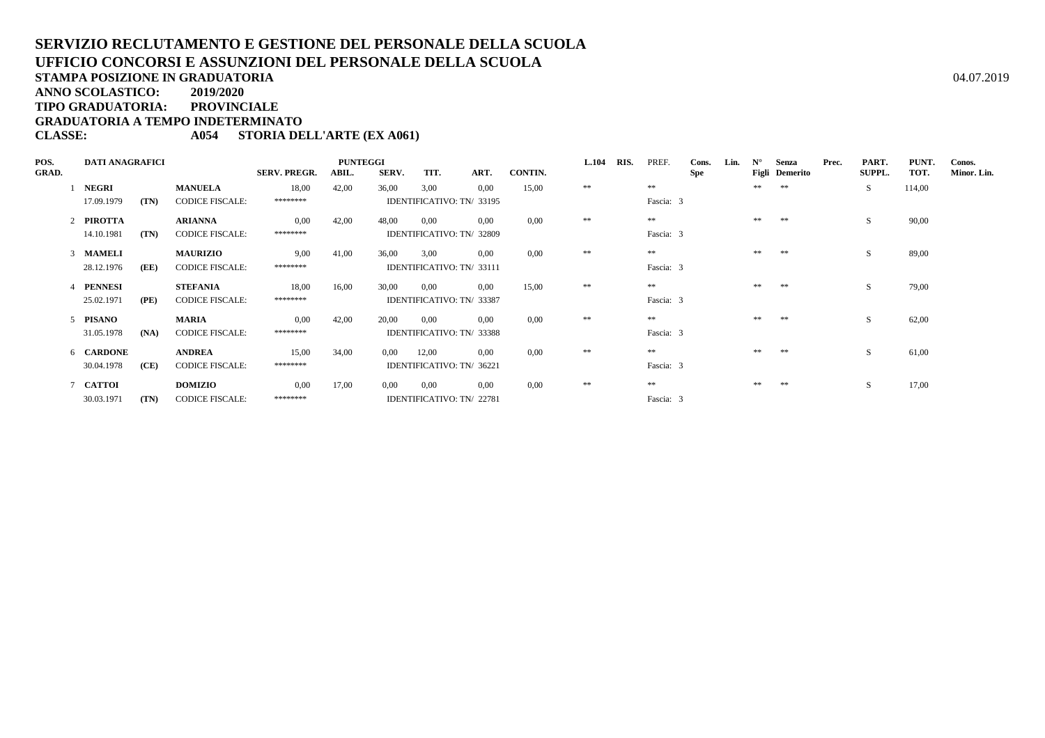**TIPO GRADUATORIA: PROVINCIALE**

**GRADUATORIA A TEMPO INDETERMINATO**

### **CLASSE: A054 STORIA DELL'ARTE (EX A061)**

| POS.         | <b>DATI ANAGRAFICI</b> |      |                        |                     | <b>PUNTEGGI</b> |       |                           |                           | <b>L.104</b> | RIS.     | PREF. | Cons.     | Lin.       | $N^{\circ}$ | Senza | Prec.          | PART. | PUNT.  | Conos. |             |
|--------------|------------------------|------|------------------------|---------------------|-----------------|-------|---------------------------|---------------------------|--------------|----------|-------|-----------|------------|-------------|-------|----------------|-------|--------|--------|-------------|
| <b>GRAD.</b> |                        |      |                        | <b>SERV. PREGR.</b> | ABIL.           | SERV. | TIT.                      | ART.                      | CONTIN.      |          |       |           | <b>Spe</b> |             |       | Figli Demerito |       | SUPPL. | TOT.   | Minor. Lin. |
|              | <b>NEGRI</b>           |      | <b>MANUELA</b>         | 18,00               | 42,00           | 36,00 | 3,00                      | 0.00                      | 15,00        | $\pm\pm$ |       | $* *$     |            |             | **    | **             |       | S.     | 114,00 |             |
|              | 17.09.1979             | (TN) | <b>CODICE FISCALE:</b> | ********            |                 |       |                           | IDENTIFICATIVO: TN/ 33195 |              |          |       | Fascia: 3 |            |             |       |                |       |        |        |             |
|              | 2 PIROTTA              |      | <b>ARIANNA</b>         | 0.00                | 42,00           | 48,00 | $0.00\,$                  | 0.00                      | 0.00         | **       |       | **        |            |             | **    | **             |       | S.     | 90,00  |             |
|              | 14.10.1981             | (TN) | <b>CODICE FISCALE:</b> | ********            |                 |       |                           | IDENTIFICATIVO: TN/ 32809 |              |          |       | Fascia: 3 |            |             |       |                |       |        |        |             |
|              | 3 MAMELI               |      | <b>MAURIZIO</b>        | 9,00                | 41,00           | 36,00 | 3,00                      | $0.00\,$                  | 0.00         | **       |       | **        |            |             | **    | **             |       | S      | 89,00  |             |
|              | 28.12.1976             | (EE) | <b>CODICE FISCALE:</b> | ********            |                 |       |                           | IDENTIFICATIVO: TN/33111  |              |          |       | Fascia: 3 |            |             |       |                |       |        |        |             |
|              | 4 PENNESI              |      | <b>STEFANIA</b>        | 18,00               | 16,00           | 30,00 | 0.00                      | $0.00\,$                  | 15,00        | **       |       | $* *$     |            |             | **    | **             |       | S.     | 79,00  |             |
|              | 25.02.1971             | (PE) | <b>CODICE FISCALE:</b> | ********            |                 |       |                           | IDENTIFICATIVO: TN/ 33387 |              |          |       | Fascia: 3 |            |             |       |                |       |        |        |             |
|              | 5 PISANO               |      | MARIA                  | 0.00                | 42,00           | 20,00 | 0.00                      | 0.00                      | 0.00         | **       |       | **        |            |             | **    | **             |       | S      | 62,00  |             |
|              | 31.05.1978             | (NA) | <b>CODICE FISCALE:</b> | ********            |                 |       |                           | IDENTIFICATIVO: TN/ 33388 |              |          |       | Fascia: 3 |            |             |       |                |       |        |        |             |
|              | 6 CARDONE              |      | <b>ANDREA</b>          | 15,00               | 34,00           | 0.00  | 12,00                     | 0.00                      | 0.00         | **       |       | **        |            |             | **    | **             |       | S.     | 61,00  |             |
|              | 30.04.1978             | (CE) | <b>CODICE FISCALE:</b> | ********            |                 |       | IDENTIFICATIVO: TN/ 36221 |                           |              |          |       | Fascia: 3 |            |             |       |                |       |        |        |             |
|              | 7 CATTOI               |      | <b>DOMIZIO</b>         | 0.00                | 17,00           | 0.00  | 0.00                      | 0.00                      | 0.00         | **       |       | **        |            |             | **    | **             |       | S.     | 17,00  |             |
|              | 30.03.1971             | (TN) | <b>CODICE FISCALE:</b> | ********            |                 |       | IDENTIFICATIVO: TN/ 22781 |                           |              |          |       | Fascia: 3 |            |             |       |                |       |        |        |             |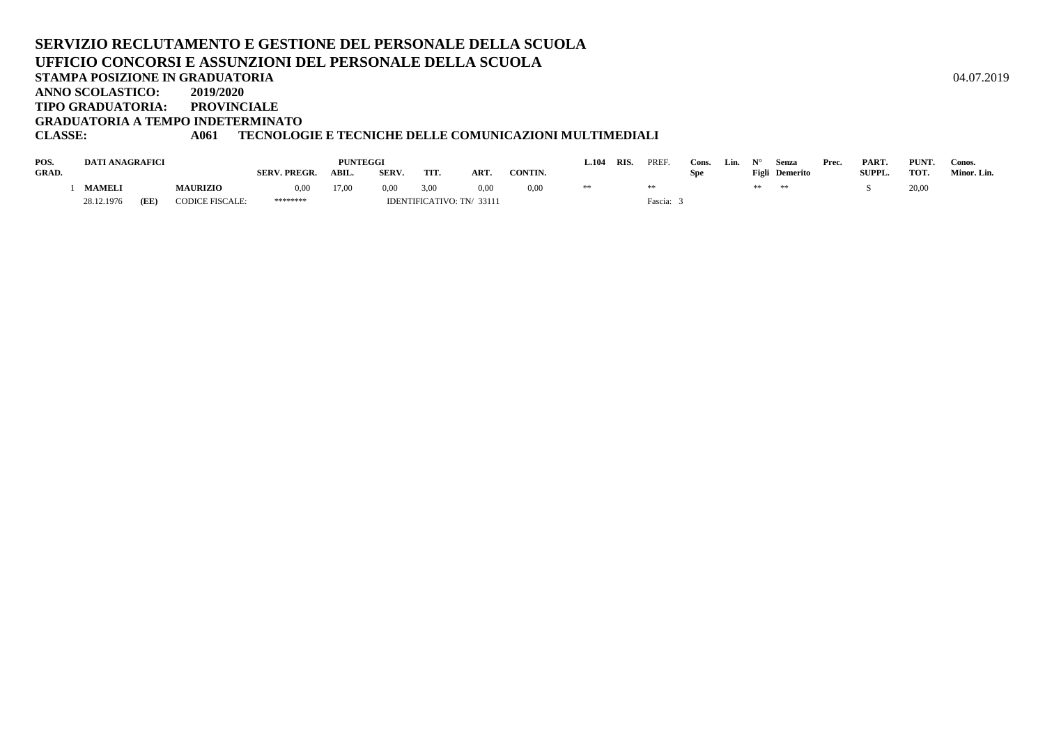#### **SERVIZIO RECLUTAMENTO E GESTIONE DEL PERSONALE DELLA SCUOLAUFFICIO CONCORSI E ASSUNZIONI DEL PERSONALE DELLA SCUOLASTAMPA POSIZIONE IN GRADUATORIA**A  $04.07.2019$ **ANNO SCOLASTICO: 2019/2020PROVINCIALE TIPO GRADUATORIA: GRADUATORIA A TEMPO INDETERMINATOCLASSE: A061 TECNOLOGIE E TECNICHE DELLE COMUNICAZIONI MULTIMEDIALI**

#### **POS. DATI ANAGRAFICI PUNTEGGI L.104RIS.** PREF. Cons. Lin.  $N^{\circ}$  Senza Prec. PART. PUNT. Conos. Spe Figli Demerito SUPPL. TOT. Minor. Lin. **GRAD.SERV. PREGR.** ABIL. **SERV. TIT.** ART. CONTIN.  $F$ **igli Demerito** 1 MAMELI **MAMELI MAURIZIO** 0,00 17,00 0,00 3,00 0,00 0,00 \*\* \*\* \*\* \*\* <sup>S</sup> 20,00 28.12.1976**(EE)** CODICE FISCALE: \*\*\*\*\*\*\*\* IDENTIFICATIVO: TN/ <sup>33111</sup> Fascia: 3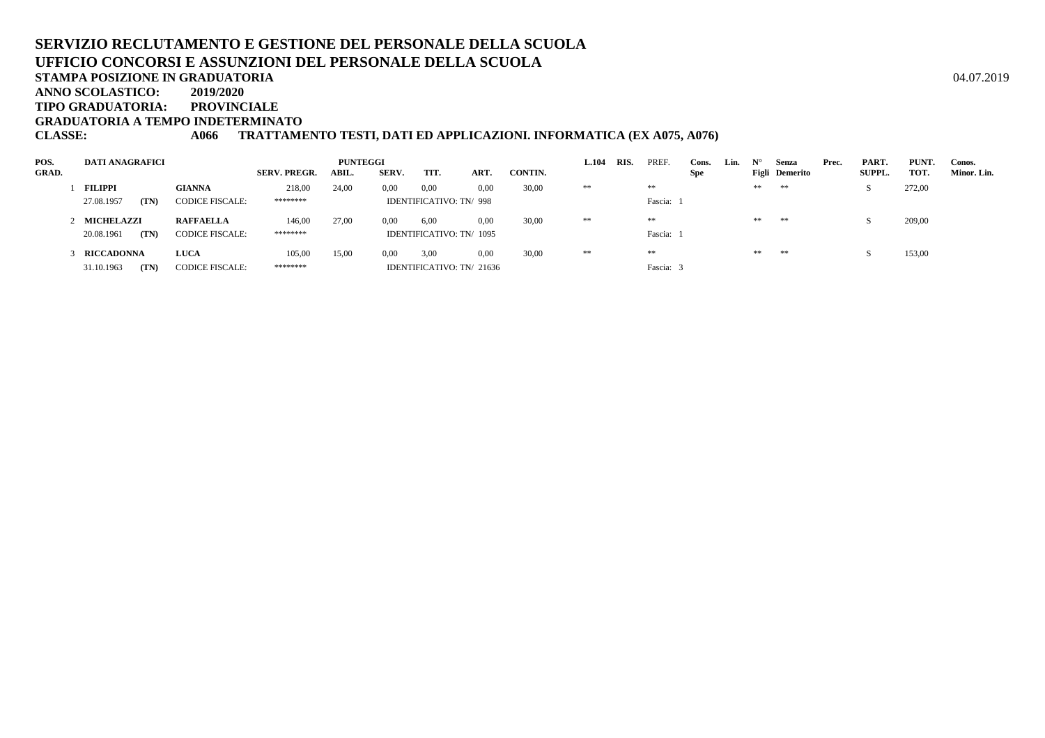**ANNO SCOLASTICO:2019/2020**

**TIPO GRADUATORIA: PROVINCIALE**

**GRADUATORIA A TEMPO INDETERMINATO**

**CLASSE: A066 TRATTAMENTO TESTI, DATI ED APPLICAZIONI. INFORMATICA (EX A075, A076)**

| POS.         | <b>DATI ANAGRAFICI</b> |                        |                     | <b>PUNTEGGI</b> |       |                                |      |         | <b>L.104</b> | RIS. | <b>PREF</b> | Cons.      | Lin. | $\mathbf{N}^{\circ}$ | Senza          | Prec. | PART.         | PUNT.  | Conos.      |
|--------------|------------------------|------------------------|---------------------|-----------------|-------|--------------------------------|------|---------|--------------|------|-------------|------------|------|----------------------|----------------|-------|---------------|--------|-------------|
| <b>GRAD.</b> |                        |                        | <b>SERV. PREGR.</b> | ABIL.           | SERV. | TIT.                           | ART. | CONTIN. |              |      |             | <b>Spe</b> |      |                      | Figli Demerito |       | <b>SUPPL.</b> | TOT.   | Minor. Lin. |
|              | <b>FILIPPI</b>         | <b>GIANNA</b>          | 218,00              | 24,00           | 0,00  | 0,00                           | 0,00 | 30,00   | **           |      | $\pm\pm$    |            |      | **                   | **             |       |               | 272,00 |             |
|              | 27.08.1957<br>(TN)     | <b>CODICE FISCALE:</b> | ********            |                 |       | <b>IDENTIFICATIVO: TN/ 998</b> |      |         |              |      | Fascia:     |            |      |                      |                |       |               |        |             |
|              | 2 MICHELAZZI           | <b>RAFFAELLA</b>       | 146,00              | 27,00           | 0,00  | 6,00                           | 0.00 | 30,00   | **           |      | $\pm\pm$    |            |      | **                   | $\pm\pm$       |       |               | 209,00 |             |
|              | (TN)<br>20.08.1961     | <b>CODICE FISCALE:</b> | ********            |                 |       | IDENTIFICATIVO: TN/ 1095       |      |         |              |      | Fascia:     |            |      |                      |                |       |               |        |             |
|              | <b>RICCADONNA</b>      | <b>LUCA</b>            | 105,00              | 15,00           | 0.00  | 3,00                           | 0.00 | 30,00   | **           |      | $\pm\pm$    |            |      | **                   | **             |       |               | 153,00 |             |
|              | 31.10.1963<br>(TN)     | <b>CODICE FISCALE:</b> | ********            |                 |       | IDENTIFICATIVO: TN/ 21636      |      |         |              |      | Fascia:     |            |      |                      |                |       |               |        |             |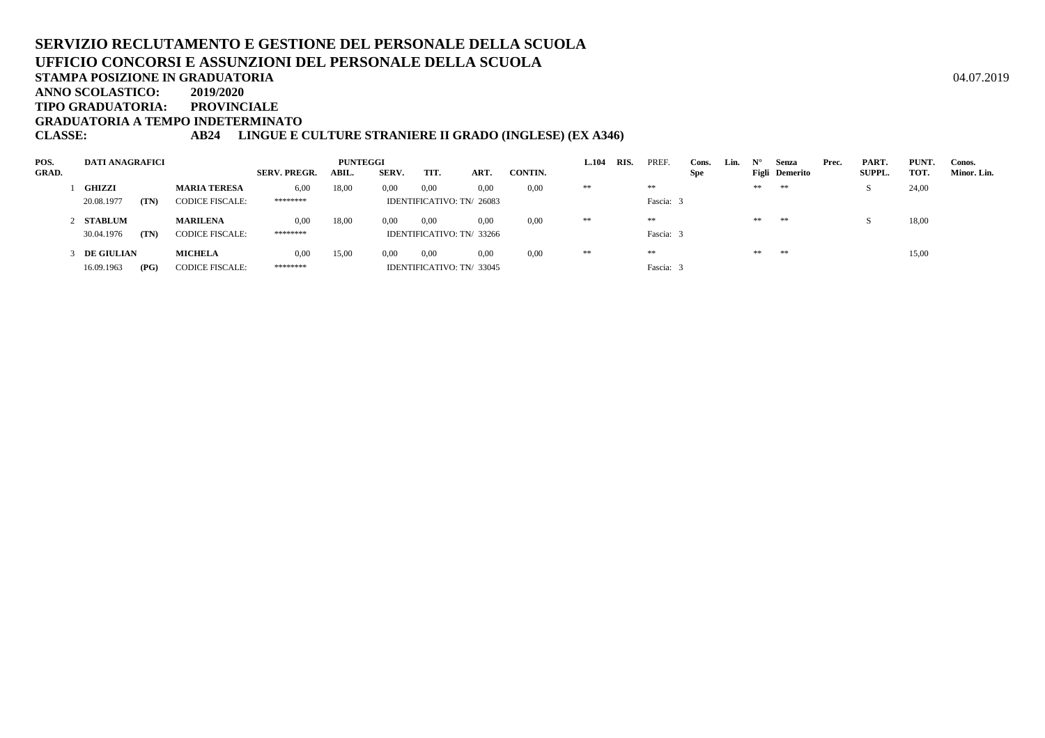**ANNO SCOLASTICO:2019/2020**

**TIPO GRADUATORIA: PROVINCIALE**

**GRADUATORIA A TEMPO INDETERMINATO**

### **CLASSE: AB24 LINGUE E CULTURE STRANIERE II GRADO (INGLESE) (EX A346)**

| POS.         | DATI ANAGRAFICI   |      |                        |                     | <b>PUNTEGGI</b> |       |                           |      |         | <b>L.104</b> | RIS. | PREF.     | Cons. | Lin. | $N^{\circ}$ | Senza          | Prec. | PART.         | PUNT. | Conos.      |
|--------------|-------------------|------|------------------------|---------------------|-----------------|-------|---------------------------|------|---------|--------------|------|-----------|-------|------|-------------|----------------|-------|---------------|-------|-------------|
| <b>GRAD.</b> |                   |      |                        | <b>SERV. PREGR.</b> | ABIL.           | SERV. | TIT.                      | ART. | CONTIN. |              |      |           | Spe   |      |             | Figli Demerito |       | <b>SUPPL.</b> | TOT.  | Minor. Lin. |
|              | <b>GHIZZI</b>     |      | <b>MARIA TERESA</b>    | 6,00                | 18,00           | 0.00  | 0,00                      | 0,00 | 0,00    | **           |      | **        |       |      | $\pm\pm$    | **             |       |               | 24,00 |             |
|              | 20.08.1977        | (TN) | <b>CODICE FISCALE:</b> | ********            |                 |       | IDENTIFICATIVO: TN/ 26083 |      |         |              |      | Fascia:   |       |      |             |                |       |               |       |             |
|              | 2 STABLUM         |      | <b>MARILENA</b>        | 0,00                | 18,00           | 0.00  | 0,00                      | 0.00 | 0,00    | **           |      | **        |       |      | $\pm\pm$    | **             |       |               | 18,00 |             |
|              | 30.04.1976        | (TN) | <b>CODICE FISCALE:</b> | ********            |                 |       | IDENTIFICATIVO: TN/ 33266 |      |         |              |      | Fascia: 3 |       |      |             |                |       |               |       |             |
|              | <b>DE GIULIAN</b> |      | <b>MICHELA</b>         | 0,00                | 15,00           | 0.00  | 0,00                      | 0.00 | 0,00    | **           |      | **        |       |      | $\pm\pm$    | **             |       |               | 15,00 |             |
|              | 16.09.1963        | (PG) | <b>CODICE FISCALE:</b> | ********            |                 |       | IDENTIFICATIVO: TN/33045  |      |         |              |      | Fascia:   |       |      |             |                |       |               |       |             |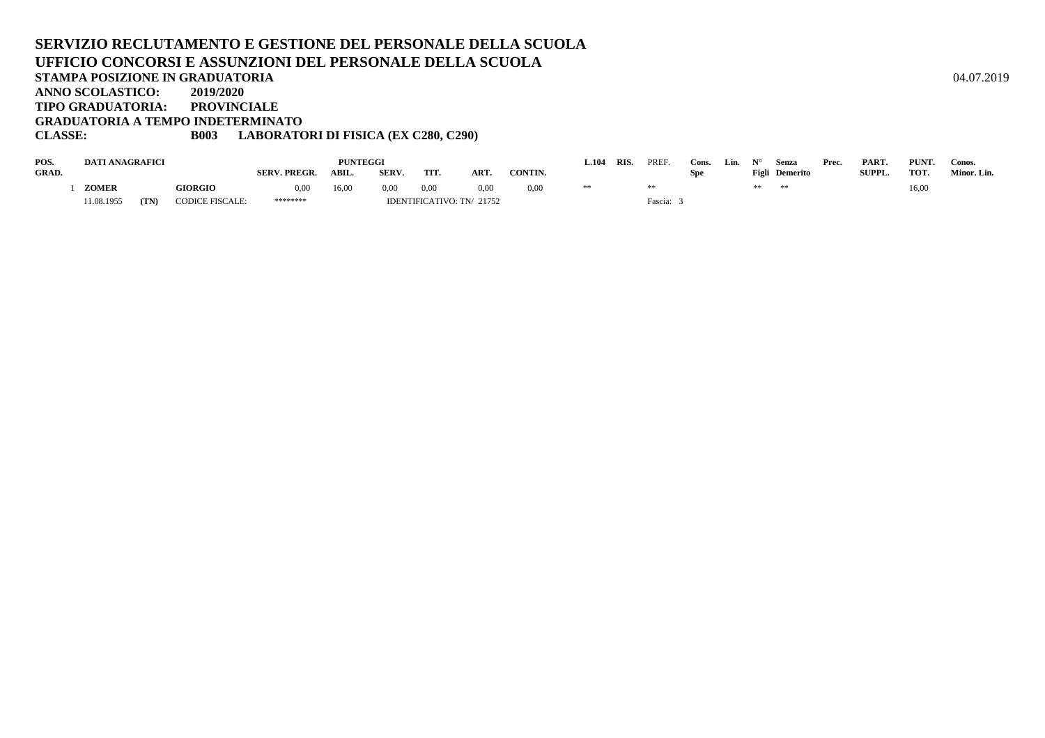#### **SERVIZIO RECLUTAMENTO E GESTIONE DEL PERSONALE DELLA SCUOLAUFFICIO CONCORSI E ASSUNZIONI DEL PERSONALE DELLA SCUOLASTAMPA POSIZIONE IN GRADUATORIA**A  $04.07.2019$ **ANNO SCOLASTICO: 2019/2020 TIPO GRADUATORIA: PROVINCIALE GRADUATORIA A TEMPO INDETERMINATOCLASSE: B003 LABORATORI DI FISICA (EX C280, C290)**

| POS.         | <b>DATI ANAGRAFICI</b> |      |                        |                     | <b>PUNTEGGI</b> |       |      |                           |                | 104. | RIS. | PREF.   | Cons. | Lin. | <b>NTO</b> | Senza          | Prec. | PART.         | PUNT. | Conos.      |
|--------------|------------------------|------|------------------------|---------------------|-----------------|-------|------|---------------------------|----------------|------|------|---------|-------|------|------------|----------------|-------|---------------|-------|-------------|
| <b>GRAD.</b> |                        |      |                        | <b>SERV. PREGR.</b> | ABIL.           | SERV. | TIT. | ART.                      | <b>CONTIN.</b> |      |      |         | Spe   |      |            | Figli Demerito |       | <b>SUPPL.</b> | TOT.  | Minor. Lin. |
|              | <b>ZOMER</b>           |      | <b>GIORGIO</b>         | 0.00                | 16,00           | 0.00  | 0.00 | 0.00                      | 0.00           | **   |      |         |       |      |            | Se Sk          |       |               | 16,00 |             |
|              | 11.08.1955             | (TN) | <b>CODICE FISCALE:</b> | ********            |                 |       |      | IDENTIFICATIVO: TN/ 21752 |                |      |      | Fascia: |       |      |            |                |       |               |       |             |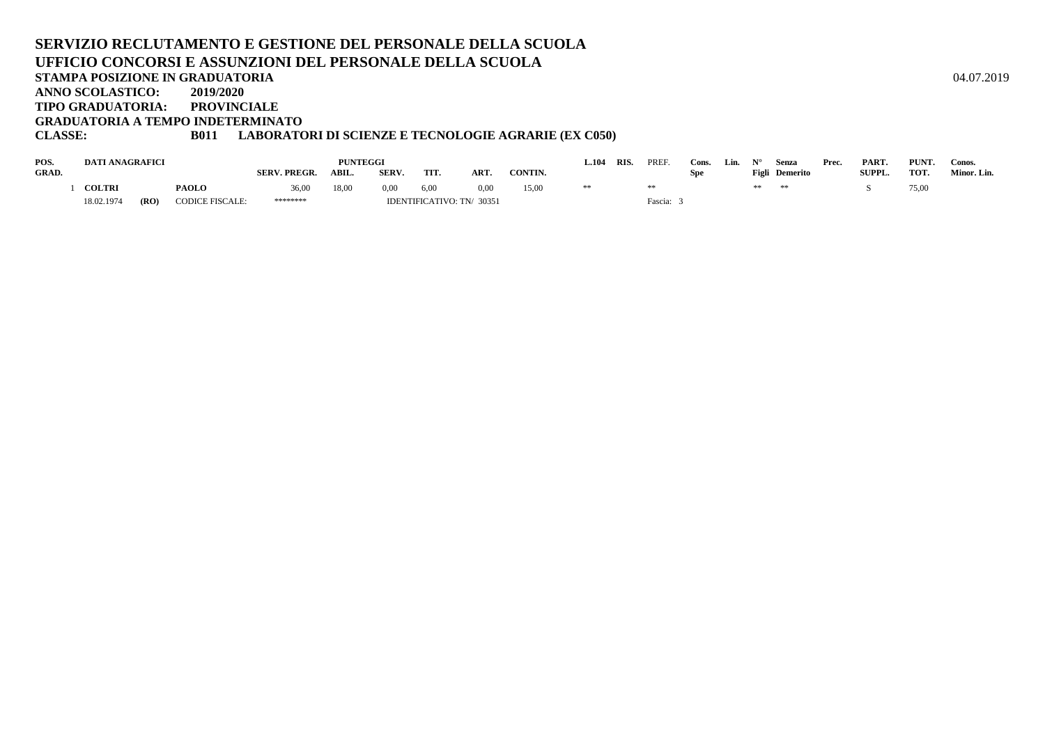#### **SERVIZIO RECLUTAMENTO E GESTIONE DEL PERSONALE DELLA SCUOLAUFFICIO CONCORSI E ASSUNZIONI DEL PERSONALE DELLA SCUOLASTAMPA POSIZIONE IN GRADUATORIA**A  $04.07.2019$ **ANNO SCOLASTICO: 2019/2020 TIPO GRADUATORIA: PROVINCIALE GRADUATORIA A TEMPO INDETERMINATOCLASSE: B011 LABORATORI DI SCIENZE E TECNOLOGIE AGRARIE (EX C050)**

| POS.         | <b>DATI ANAGRAFICI</b> |               |                 |                     | PUNTEGGI |       |                           |            |         |  | <b>RIS</b> | <b>PREF</b><br>Cons |  | Lin. |    | Senza                 | Prec. | PART.         | PUNT. | Conos.      |
|--------------|------------------------|---------------|-----------------|---------------------|----------|-------|---------------------------|------------|---------|--|------------|---------------------|--|------|----|-----------------------|-------|---------------|-------|-------------|
| <b>GRAD.</b> |                        |               |                 | <b>SERV. PREGR.</b> | ABIL.    | SERV. | TIT                       | <b>ART</b> | CONTIN. |  |            |                     |  |      |    | <b>Figli</b> Demerito |       | <b>SUPPL.</b> | TOT.  | Minor. Lin. |
|              | <b>COLTRI</b>          |               | <b>PAOLO</b>    | 36,00               | 18,00    | 0,00  | 6,00                      | 0.00       | 15,00   |  |            |                     |  |      | ** | **                    |       |               | 75,00 |             |
|              | 18.02.1974             | ( <b>RO</b> ) | CODICE FISCALE: | ********            |          |       | IDENTIFICATIVO: TN/ 30351 |            |         |  |            | Fascia:             |  |      |    |                       |       |               |       |             |